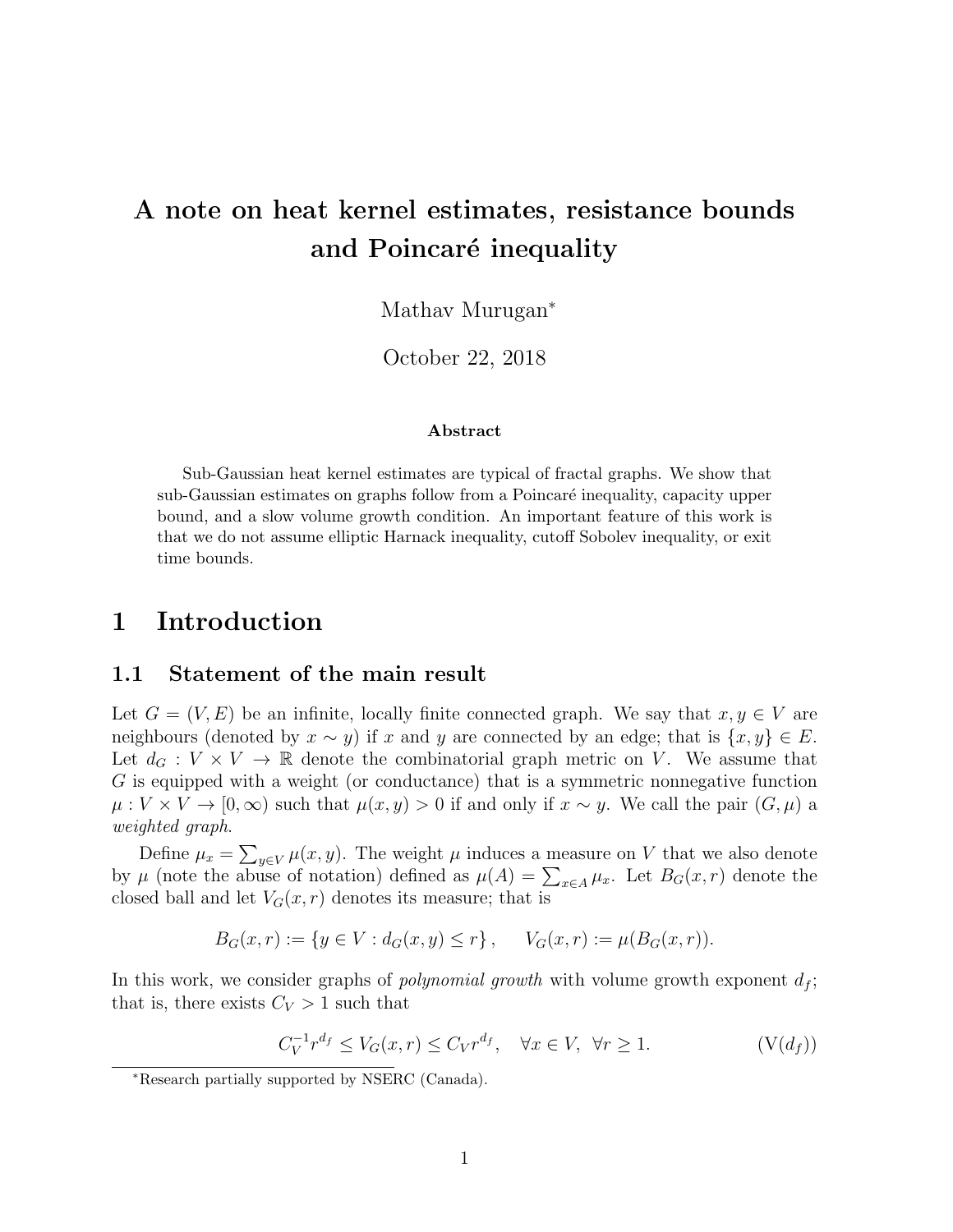# A note on heat kernel estimates, resistance bounds and Poincaré inequality

Mathav Murugan<sup>∗</sup>

October 22, 2018

#### Abstract

Sub-Gaussian heat kernel estimates are typical of fractal graphs. We show that sub-Gaussian estimates on graphs follow from a Poincaré inequality, capacity upper bound, and a slow volume growth condition. An important feature of this work is that we do not assume elliptic Harnack inequality, cutoff Sobolev inequality, or exit time bounds.

### 1 Introduction

#### 1.1 Statement of the main result

Let  $G = (V, E)$  be an infinite, locally finite connected graph. We say that  $x, y \in V$  are neighbours (denoted by  $x \sim y$ ) if x and y are connected by an edge; that is  $\{x, y\} \in E$ . Let  $d_G: V \times V \to \mathbb{R}$  denote the combinatorial graph metric on V. We assume that G is equipped with a weight (or conductance) that is a symmetric nonnegative function  $\mu: V \times V \to [0,\infty)$  such that  $\mu(x,y) > 0$  if and only if  $x \sim y$ . We call the pair  $(G,\mu)$  a weighted graph.

Define  $\mu_x = \sum_{y \in V} \mu(x, y)$ . The weight  $\mu$  induces a measure on V that we also denote by  $\mu$  (note the abuse of notation) defined as  $\mu(A) = \sum_{x \in A} \mu_x$ . Let  $B_G(x,r)$  denote the closed ball and let  $V_G(x, r)$  denotes its measure; that is

$$
B_G(x,r) := \{ y \in V : d_G(x,y) \le r \}, \quad V_G(x,r) := \mu(B_G(x,r)).
$$

In this work, we consider graphs of *polynomial growth* with volume growth exponent  $d_f$ ; that is, there exists  $C_V > 1$  such that

<span id="page-0-0"></span>
$$
C_V^{-1}r^{d_f} \le V_G(x,r) \le C_V r^{d_f}, \quad \forall x \in V, \ \forall r \ge 1. \tag{V(d_f)}
$$

<sup>∗</sup>Research partially supported by NSERC (Canada).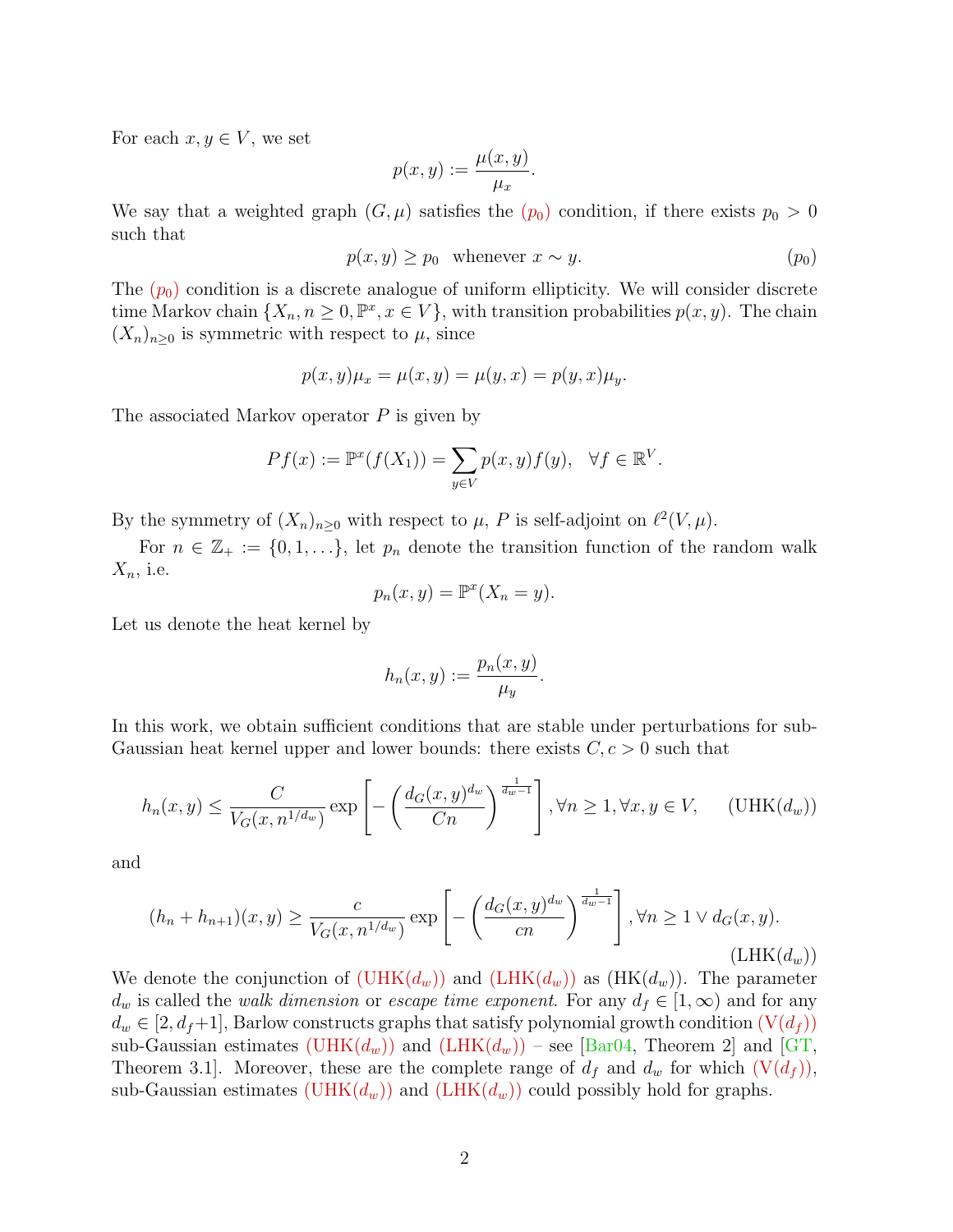For each  $x, y \in V$ , we set

<span id="page-1-0"></span>
$$
p(x,y) := \frac{\mu(x,y)}{\mu_x}.
$$

We say that a weighted gra[p](#page-1-0)h  $(G, \mu)$  satisfies the  $(p_0)$  condition, if there exists  $p_0 > 0$ such that

$$
p(x, y) \ge p_0 \quad \text{whenever} \quad x \sim y. \tag{p_0}
$$

The  $(p_0)$  $(p_0)$  $(p_0)$  condition is a discrete analogue of uniform ellipticity. We will consider discrete time Markov chain  $\{X_n, n \geq 0, \mathbb{P}^x, x \in V\}$ , with transition probabilities  $p(x, y)$ . The chain  $(X_n)_{n\geq 0}$  is symmetric with respect to  $\mu$ , since

$$
p(x, y)\mu_x = \mu(x, y) = \mu(y, x) = p(y, x)\mu_y.
$$

The associated Markov operator  $P$  is given by

$$
Pf(x) := \mathbb{P}^x(f(X_1)) = \sum_{y \in V} p(x, y) f(y), \quad \forall f \in \mathbb{R}^V.
$$

By the symmetry of  $(X_n)_{n\geq 0}$  with respect to  $\mu$ , P is self-adjoint on  $\ell^2(V, \mu)$ .

For  $n \in \mathbb{Z}_+ := \{0,1,\ldots\}$ , let  $p_n$  denote the transition function of the random walk  $X_n$ , i.e.

$$
p_n(x, y) = \mathbb{P}^x(X_n = y).
$$

Let us denote the heat kernel by

<span id="page-1-2"></span><span id="page-1-1"></span>
$$
h_n(x,y) := \frac{p_n(x,y)}{\mu_y}.
$$

In this work, we obtain sufficient conditions that are stable under perturbations for sub-Gaussian heat kernel upper and lower bounds: there exists  $C, c > 0$  such that

$$
h_n(x,y) \le \frac{C}{V_G(x,n^{1/d_w})} \exp\left[-\left(\frac{d_G(x,y)^{d_w}}{Cn}\right)^{\frac{1}{d_w-1}}\right], \forall n \ge 1, \forall x, y \in V, \quad (\text{UHK}(d_w))
$$

and

$$
(h_n + h_{n+1})(x, y) \ge \frac{c}{V_G(x, n^{1/d_w})} \exp\left[-\left(\frac{d_G(x, y)^{d_w}}{cn}\right)^{\frac{1}{d_w - 1}}\right], \forall n \ge 1 \lor d_G(x, y).
$$
\n(LHK(d\_w))

We denote the conjunction of  $(\text{UHK}(d_w))$  and  $(\text{LHK}(d_w))$  as  $(\text{HK}(d_w))$ . The parameter  $d_w$  is called the walk dimension or escape time exponent. For any  $d_f \in [1,\infty)$  and for any  $d_w \in [2, d_f+1]$ , Barlow constructs graphs that satisfy polynomial growth condition  $(V(d_f))$  $(V(d_f))$ sub-Gaussian estimates (UHK $(d_w)$ ) and  $(LHK(d_w))$  $(LHK(d_w))$  – see [\[Bar04,](#page-14-0) Theorem 2] and [\[GT,](#page-15-0) Theorem 3.1]. Moreover, these are the complete range of  $d_f$  and  $d_w$  for which  $(V(d_f))$  $(V(d_f))$ , sub-Gaussian estimates (UHK $(d_w)$ ) and (LHK $(d_w)$ ) could possibly hold for graphs.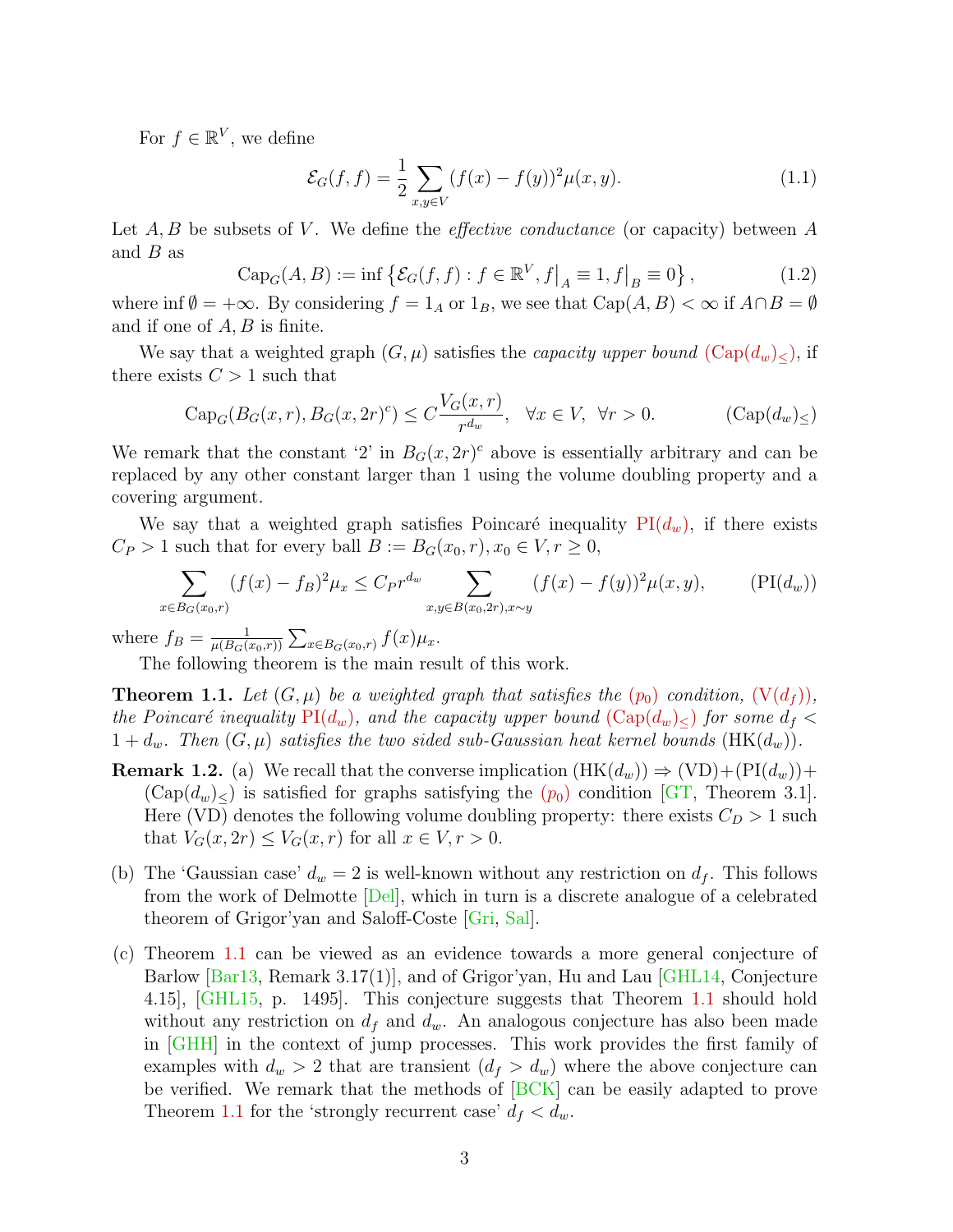For  $f \in \mathbb{R}^V$ , we define

<span id="page-2-0"></span>
$$
\mathcal{E}_G(f,f) = \frac{1}{2} \sum_{x,y \in V} (f(x) - f(y))^2 \mu(x,y).
$$
 (1.1)

Let  $A, B$  be subsets of V. We define the *effective conductance* (or capacity) between  $A$ and  $B$  as

$$
Cap_G(A, B) := \inf \left\{ \mathcal{E}_G(f, f) : f \in \mathbb{R}^V, f \big|_A \equiv 1, f \big|_B \equiv 0 \right\},\tag{1.2}
$$

where inf  $\emptyset = +\infty$ . By considering  $f = 1_A$  or  $1_B$ , we see that  $Cap(A, B) < \infty$  if  $A \cap B = \emptyset$ and if one of A, B is finite.

We say that a weighted graph  $(G, \mu)$  satisfies the *capacity upper bound*  $(\text{Cap}(d_w)_{\leq})$ , if there exists  $C > 1$  such that

$$
Cap_G(B_G(x,r), B_G(x,2r)^c) \le C \frac{V_G(x,r)}{r^{d_w}}, \quad \forall x \in V, \ \forall r > 0.
$$
 (Cap $(d_w)_{\le}$ )

We remark that the constant '2' in  $B_G(x, 2r)^c$  above is essentially arbitrary and can be replaced by any other constant larger than 1 using the volume doubling property and a covering argument.

We say that a weighted graph satisfies Poincaré inequality  $PI(d_w)$  $PI(d_w)$ , if there exists  $C_P > 1$  such that for every ball  $B := B_G(x_0, r), x_0 \in V, r \ge 0$ ,

<span id="page-2-1"></span>
$$
\sum_{x \in B_G(x_0, r)} (f(x) - f_B)^2 \mu_x \le C_P r^{d_w} \sum_{x, y \in B(x_0, 2r), x \sim y} (f(x) - f(y))^2 \mu(x, y), \qquad (\text{PI}(d_w))
$$

where  $f_B = \frac{1}{\mu(B_C)}$  $\frac{1}{\mu(B_G(x_{0},r))}\sum_{x\in B_G(x_{0},r)}f(x)\mu_{x}.$ 

The following theorem is the main result of this work.

<span id="page-2-2"></span>**Theorem 1.1.** Let  $(G, \mu)$  be a weighted gra[p](#page-1-0)h that satisfies the  $(p_0)$  condition,  $(V(d_f))$  $(V(d_f))$ , the Poincaré inequality  $\text{PI}(d_w)$ , and the capacity upper bound  $(\text{Cap}(d_w)_{\leq})$  for some  $d_f$  $1 + d_w$ . Then  $(G, \mu)$  satisfies the two sided sub-Gaussian heat kernel bounds  $(HK(d_w))$ .

- **Remark 1.2.** (a) We recall that the converse implication  $(HK(d_w)) \Rightarrow (VD) + (PI(d_w)) +$  $(Cap(d_w)_{\leq})$  $(Cap(d_w)_{\leq})$  $(Cap(d_w)_{\leq})$  is satisfied for graphs satisfying the  $(p_0)$  condition [\[GT,](#page-15-0) Theorem 3.1]. Here (VD) denotes the following volume doubling property: there exists  $C_D > 1$  such that  $V_G(x, 2r) \leq V_G(x, r)$  for all  $x \in V, r > 0$ .
- (b) The 'Gaussian case'  $d_w = 2$  is well-known without any restriction on  $d_f$ . This follows from the work of Delmotte [\[Del\]](#page-14-1), which in turn is a discrete analogue of a celebrated theorem of Grigor'yan and Saloff-Coste [\[Gri,](#page-15-1) [Sal\]](#page-15-2).
- (c) Theorem [1.1](#page-2-2) can be viewed as an evidence towards a more general conjecture of Barlow [\[Bar13,](#page-14-2) Remark 3.17(1)], and of Grigor'yan, Hu and Lau [\[GHL14,](#page-15-3) Conjecture 4.15], [\[GHL15,](#page-15-4) p. 1495]. This conjecture suggests that Theorem [1.1](#page-2-2) should hold without any restriction on  $d_f$  and  $d_w$ . An analogous conjecture has also been made in [\[GHH\]](#page-15-5) in the context of jump processes. This work provides the first family of examples with  $d_w > 2$  that are transient  $(d_f > d_w)$  where the above conjecture can be verified. We remark that the methods of [\[BCK\]](#page-14-3) can be easily adapted to prove Theorem [1.1](#page-2-2) for the 'strongly recurrent case'  $d_f < d_w$ .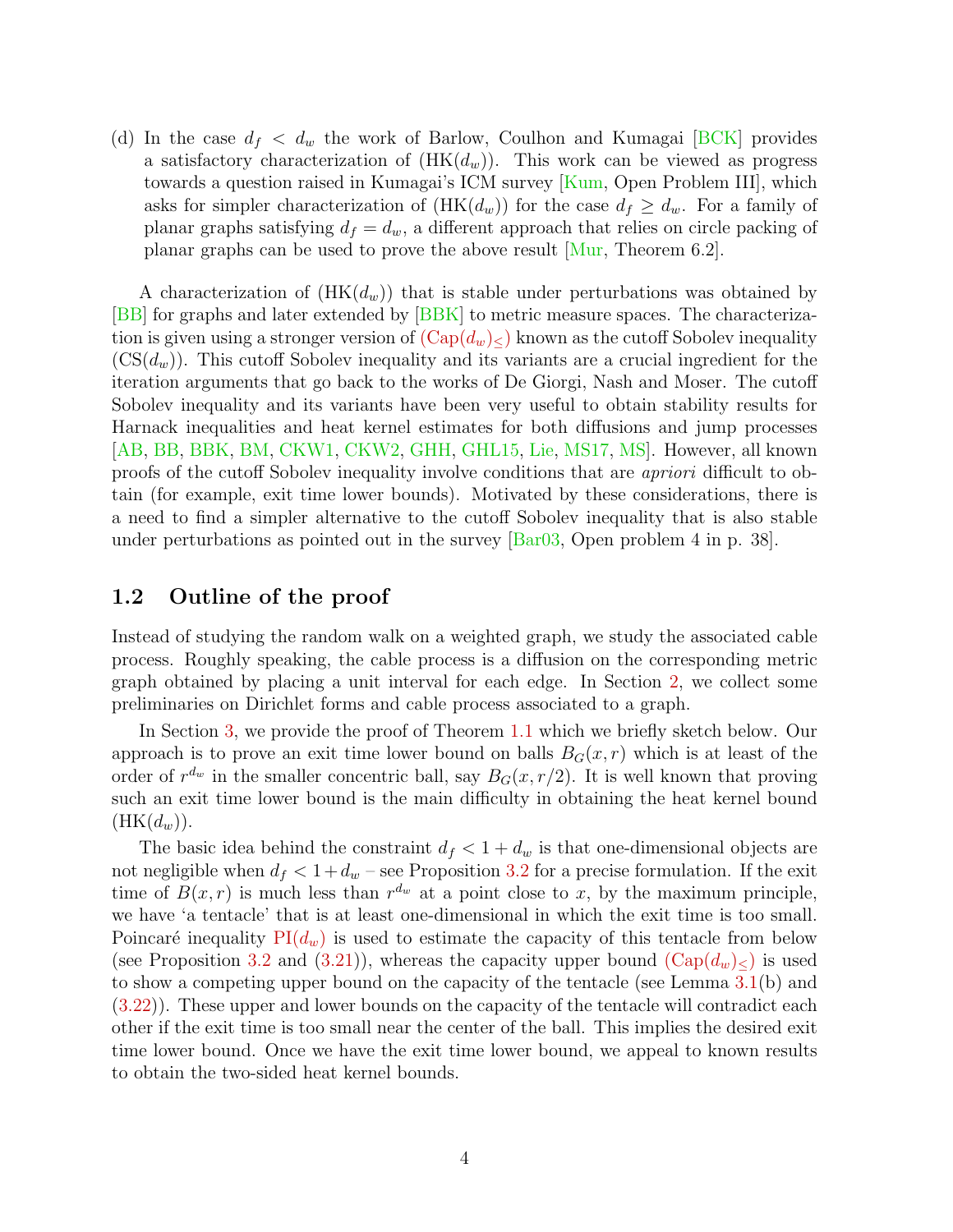(d) In the case  $d_f < d_w$  the work of Barlow, Coulhon and Kumagai [\[BCK\]](#page-14-3) provides a satisfactory characterization of  $(HK(d_w))$ . This work can be viewed as progress towards a question raised in Kumagai's ICM survey [\[Kum,](#page-15-6) Open Problem III], which asks for simpler characterization of  $(HK(d_w))$  for the case  $d_f \geq d_w$ . For a family of planar graphs satisfying  $d_f = d_w$ , a different approach that relies on circle packing of planar graphs can be used to prove the above result [\[Mur,](#page-15-7) Theorem 6.2].

A characterization of  $(HK(d_w))$  that is stable under perturbations was obtained by [\[BB\]](#page-14-4) for graphs and later extended by [\[BBK\]](#page-14-5) to metric measure spaces. The characterization is given using a stronger version of  $(\text{Cap}(d_w)_{\leq})$  known as the cutoff Sobolev inequality  $(\text{CS}(d_w))$ . This cutoff Sobolev inequality and its variants are a crucial ingredient for the iteration arguments that go back to the works of De Giorgi, Nash and Moser. The cutoff Sobolev inequality and its variants have been very useful to obtain stability results for Harnack inequalities and heat kernel estimates for both diffusions and jump processes [\[AB,](#page-13-0) [BB,](#page-14-4) [BBK,](#page-14-5) [BM,](#page-14-6) [CKW1,](#page-14-7) [CKW2,](#page-14-8) [GHH,](#page-15-5) [GHL15,](#page-15-4) [Lie,](#page-15-8) [MS17,](#page-15-9) [MS\]](#page-15-10). However, all known proofs of the cutoff Sobolev inequality involve conditions that are apriori difficult to obtain (for example, exit time lower bounds). Motivated by these considerations, there is a need to find a simpler alternative to the cutoff Sobolev inequality that is also stable under perturbations as pointed out in the survey [\[Bar03,](#page-14-9) Open problem 4 in p. 38].

### 1.2 Outline of the proof

Instead of studying the random walk on a weighted graph, we study the associated cable process. Roughly speaking, the cable process is a diffusion on the corresponding metric graph obtained by placing a unit interval for each edge. In Section [2,](#page-4-0) we collect some preliminaries on Dirichlet forms and cable process associated to a graph.

In Section [3,](#page-7-0) we provide the proof of Theorem [1.1](#page-2-2) which we briefly sketch below. Our approach is to prove an exit time lower bound on balls  $B_G(x, r)$  which is at least of the order of  $r^{d_w}$  in the smaller concentric ball, say  $B_G(x, r/2)$ . It is well known that proving such an exit time lower bound is the main difficulty in obtaining the heat kernel bound  $(HK(d_w)).$ 

The basic idea behind the constraint  $d_f < 1 + d_w$  is that one-dimensional objects are not negligible when  $d_f < 1 + d_w$  – see Proposition [3.2](#page-8-0) for a precise formulation. If the exit time of  $B(x, r)$  is much less than  $r^{d_w}$  at a point close to x, by the maximum principle, we have 'a tentacle' that is at least one-dimensional in which the exit time is too small. Poincaré inequality  $PI(d_w)$  $PI(d_w)$  is used to estimate the capacity of this tentacle from below (see Proposition [3.2](#page-8-0) and [\(3.21\)](#page-13-1)), whereas the capacity upper bound  $(\text{Cap}(d_w)_{\leq})$  is used to show a competing upper bound on the capacity of the tentacle (see Lemma [3.1\(](#page-7-1)b) and [\(3.22\)](#page-13-2)). These upper and lower bounds on the capacity of the tentacle will contradict each other if the exit time is too small near the center of the ball. This implies the desired exit time lower bound. Once we have the exit time lower bound, we appeal to known results to obtain the two-sided heat kernel bounds.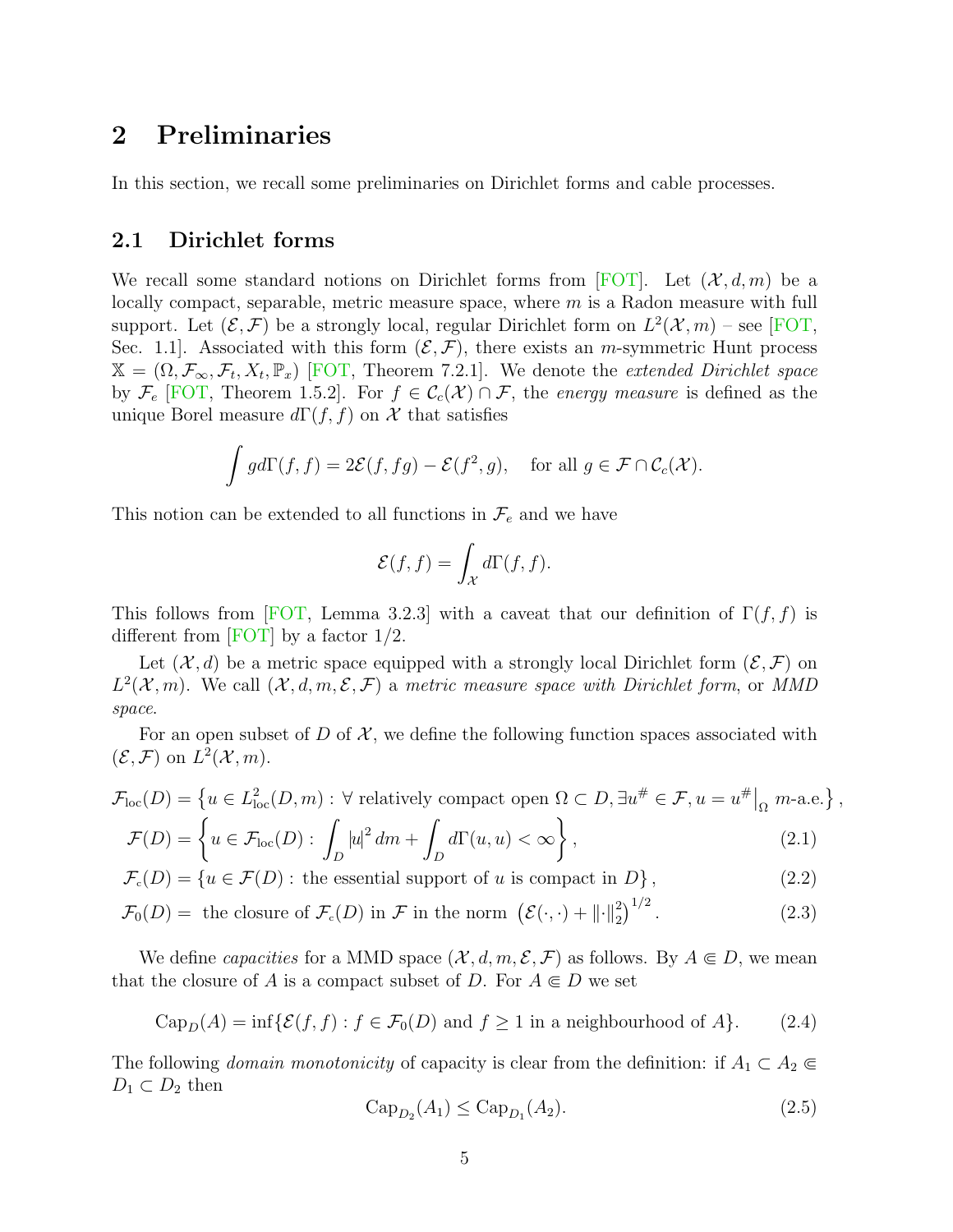## <span id="page-4-0"></span>2 Preliminaries

In this section, we recall some preliminaries on Dirichlet forms and cable processes.

#### 2.1 Dirichlet forms

We recall some standard notions on Dirichlet forms from [\[FOT\]](#page-14-10). Let  $(\mathcal{X}, d, m)$  be a locally compact, separable, metric measure space, where m is a Radon measure with full support. Let  $(\mathcal{E}, \mathcal{F})$  be a strongly local, regular Dirichlet form on  $L^2(\mathcal{X}, m)$  – see [\[FOT,](#page-14-10) Sec. 1.1. Associated with this form  $(\mathcal{E}, \mathcal{F})$ , there exists an *m*-symmetric Hunt process  $\mathbb{X} = (\Omega, \mathcal{F}_{\infty}, \mathcal{F}_{t}, X_{t}, \mathbb{P}_{x})$  [\[FOT,](#page-14-10) Theorem 7.2.1]. We denote the *extended Dirichlet space* by  $\mathcal{F}_e$  [\[FOT,](#page-14-10) Theorem 1.5.2]. For  $f \in \mathcal{C}_c(\mathcal{X}) \cap \mathcal{F}$ , the energy measure is defined as the unique Borel measure  $d\Gamma(f, f)$  on X that satisfies

$$
\int g d\Gamma(f, f) = 2\mathcal{E}(f, fg) - \mathcal{E}(f^2, g), \quad \text{for all } g \in \mathcal{F} \cap C_c(\mathcal{X}).
$$

This notion can be extended to all functions in  $\mathcal{F}_e$  and we have

<span id="page-4-1"></span>
$$
\mathcal{E}(f,f) = \int_{\mathcal{X}} d\Gamma(f,f).
$$

This follows from [\[FOT,](#page-14-10) Lemma 3.2.3] with a caveat that our definition of  $\Gamma(f, f)$  is different from [\[FOT\]](#page-14-10) by a factor  $1/2$ .

Let  $(\mathcal{X}, d)$  be a metric space equipped with a strongly local Dirichlet form  $(\mathcal{E}, \mathcal{F})$  on  $L^2(\mathcal{X}, m)$ . We call  $(\mathcal{X}, d, m, \mathcal{E}, \mathcal{F})$  a metric measure space with Dirichlet form, or MMD space.

For an open subset of D of  $\mathcal{X}$ , we define the following function spaces associated with  $(\mathcal{E}, \mathcal{F})$  on  $L^2(\mathcal{X}, m)$ .

$$
\mathcal{F}_{\text{loc}}(D) = \left\{ u \in L_{\text{loc}}^2(D, m) : \forall \text{ relatively compact open } \Omega \subset D, \exists u^\# \in \mathcal{F}, u = u^\# \big|_{\Omega} \ m\text{-a.e.} \right\},\
$$

$$
\mathcal{F}(D) = \left\{ u \in \mathcal{F}_{\text{loc}}(D) : \int |u|^2 dm + \int d\Gamma(u, u) < \infty \right\},\tag{2.1}
$$

$$
\mathcal{F}(D) = \left\{ u \in \mathcal{F}_{loc}(D) : \int_{D} |u| \, dm + \int_{D} u(u, u) < \infty \right\},\tag{2.1}
$$
\n
$$
\mathcal{F}_c(D) = \left\{ u \in \mathcal{F}(D) : \text{ the essential support of } u \text{ is compact in } D \right\},\tag{2.2}
$$

$$
J_c(D) = \{u \in J(D) : \text{ the essential support of } u \text{ is complex in } D\},\tag{2.2}
$$

$$
\mathcal{F}_0(D) = \text{ the closure of } \mathcal{F}_c(D) \text{ in } \mathcal{F} \text{ in the norm } \left( \mathcal{E}(\cdot, \cdot) + ||\cdot||_2^2 \right)^{1/2}.
$$
 (2.3)

We define *capacities* for a MMD space  $(\mathcal{X}, d, m, \mathcal{E}, \mathcal{F})$  as follows. By  $A \subseteq D$ , we mean that the closure of A is a compact subset of D. For  $A \subseteq D$  we set

$$
\text{Cap}_D(A) = \inf \{ \mathcal{E}(f, f) : f \in \mathcal{F}_0(D) \text{ and } f \ge 1 \text{ in a neighbourhood of } A \}. \tag{2.4}
$$

The following *domain monotonicity* of capacity is clear from the definition: if  $A_1 \subset A_2 \in$  $D_1 \subset D_2$  then

$$
Cap_{D_2}(A_1) \le Cap_{D_1}(A_2). \tag{2.5}
$$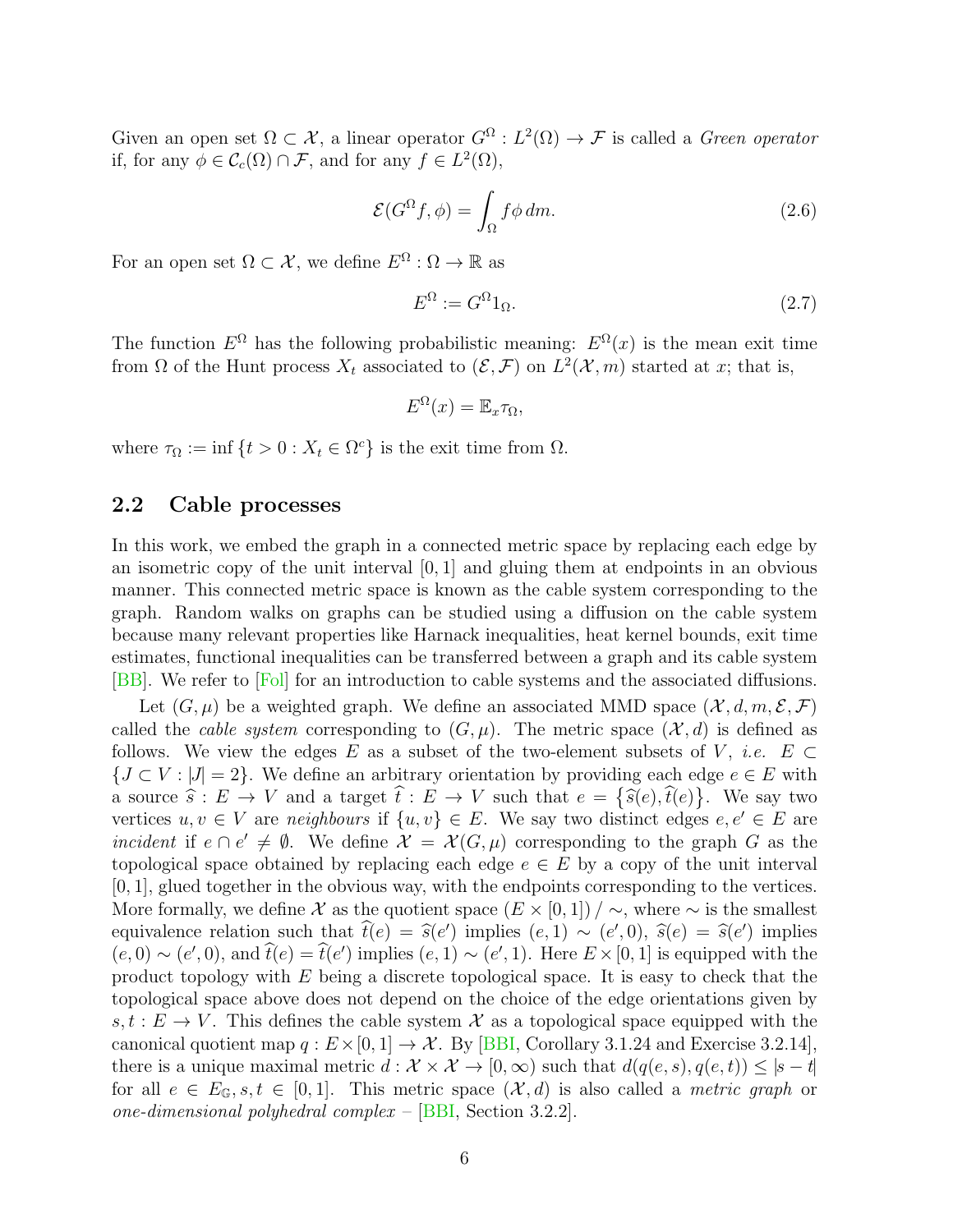Given an open set  $\Omega \subset \mathcal{X}$ , a linear operator  $G^{\Omega}: L^2(\Omega) \to \mathcal{F}$  is called a *Green operator* if, for any  $\phi \in \mathcal{C}_c(\Omega) \cap \mathcal{F}$ , and for any  $f \in L^2(\Omega)$ ,

$$
\mathcal{E}(G^{\Omega}f,\phi) = \int_{\Omega} f\phi \, dm. \tag{2.6}
$$

For an open set  $\Omega \subset \mathcal{X}$ , we define  $E^{\Omega} : \Omega \to \mathbb{R}$  as

<span id="page-5-0"></span>
$$
E^{\Omega} := G^{\Omega} 1_{\Omega}.
$$
\n
$$
(2.7)
$$

The function  $E^{\Omega}$  has the following probabilistic meaning:  $E^{\Omega}(x)$  is the mean exit time from  $\Omega$  of the Hunt process  $X_t$  associated to  $(\mathcal{E}, \mathcal{F})$  on  $L^2(\mathcal{X}, m)$  started at x; that is,

$$
E^{\Omega}(x) = \mathbb{E}_x \tau_{\Omega},
$$

where  $\tau_{\Omega} := \inf \{ t > 0 : X_t \in \Omega^c \}$  is the exit time from  $\Omega$ .

#### 2.2 Cable processes

In this work, we embed the graph in a connected metric space by replacing each edge by an isometric copy of the unit interval  $[0, 1]$  and gluing them at endpoints in an obvious manner. This connected metric space is known as the cable system corresponding to the graph. Random walks on graphs can be studied using a diffusion on the cable system because many relevant properties like Harnack inequalities, heat kernel bounds, exit time estimates, functional inequalities can be transferred between a graph and its cable system [\[BB\]](#page-14-4). We refer to [\[Fol\]](#page-14-11) for an introduction to cable systems and the associated diffusions.

Let  $(G, \mu)$  be a weighted graph. We define an associated MMD space  $(\mathcal{X}, d, m, \mathcal{E}, \mathcal{F})$ called the *cable system* corresponding to  $(G, \mu)$ . The metric space  $(\mathcal{X}, d)$  is defined as follows. We view the edges E as a subset of the two-element subsets of V, *i.e.*  $E \subset$  ${J \subset V : |J| = 2}$ . We define an arbitrary orientation by providing each edge  $e \in E$  with a source  $\hat{s}: E \to V$  and a target  $\hat{t}: E \to V$  such that  $e = {\hat{s}(e), \hat{t}(e)}$ . We say two<br>vertices  $e, e \in V$  are neighbours if  $\{e, e\} \subseteq F$ . We say two distinct edges  $e, e' \in F$  are vertices  $u, v \in V$  are neighbours if  $\{u, v\} \in E$ . We say two distinct edges  $e, e' \in E$  are incident if  $e \cap e' \neq \emptyset$ . We define  $\mathcal{X} = \mathcal{X}(G, \mu)$  corresponding to the graph G as the topological space obtained by replacing each edge  $e \in E$  by a copy of the unit interval  $[0, 1]$ , glued together in the obvious way, with the endpoints corresponding to the vertices. More formally, we define X as the quotient space  $(E \times [0,1]) / \sim$ , where  $\sim$  is the smallest equivalence relation such that  $\hat{t}(e) = \hat{s}(e')$  implies  $(e, 1) \sim (e', 0), \hat{s}(e) = \hat{s}(e')$  implies  $(e, 0) \circ (e', 0)$  and  $\hat{t}(e) = \hat{t}(e')$  implies  $(e, 1) \circ (e', 1)$ . Here  $F \times [0, 1]$  is equipped with the  $(e, 0) \sim (e', 0)$ , and  $\hat{t}(e) = \hat{t}(e')$  implies  $(e, 1) \sim (e', 1)$ . Here  $E \times [0, 1]$  is equipped with the product topology with E being a discrete topological space. It is easy to check that the topological space above does not depend on the choice of the edge orientations given by  $s, t : E \to V$ . This defines the cable system X as a topological space equipped with the canonical quotient map  $q : E \times [0, 1] \to \mathcal{X}$ . By [\[BBI,](#page-14-12) Corollary 3.1.24 and Exercise 3.2.14], there is a unique maximal metric  $d : \mathcal{X} \times \mathcal{X} \to [0, \infty)$  such that  $d(q(e, s), q(e, t)) \leq |s - t|$ for all  $e \in E_{\mathbb{G}}$ ,  $s, t \in [0, 1]$ . This metric space  $(\mathcal{X}, d)$  is also called a *metric graph* or one-dimensional polyhedral complex – [\[BBI,](#page-14-12) Section 3.2.2].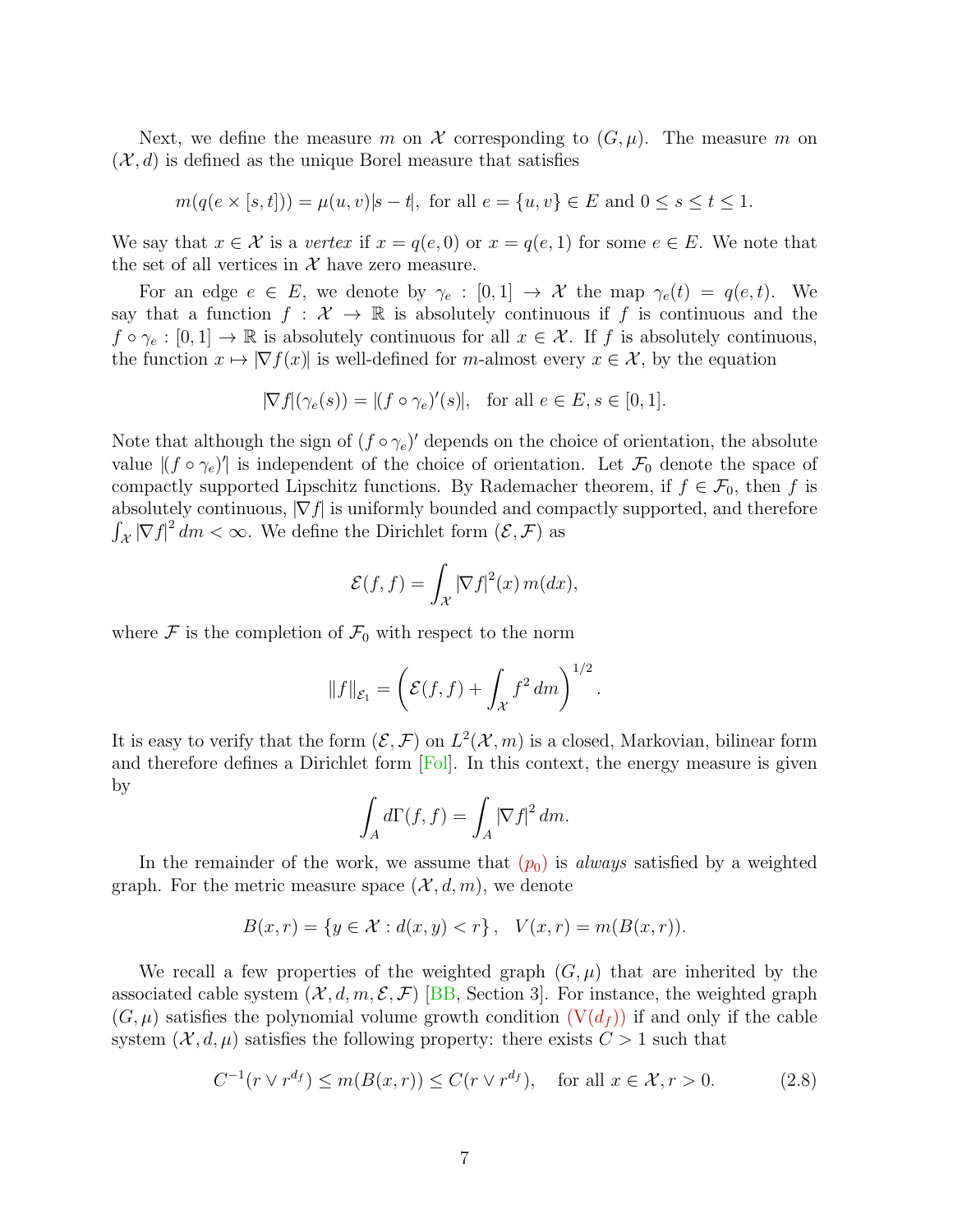Next, we define the measure m on X corresponding to  $(G, \mu)$ . The measure m on  $(\mathcal{X}, d)$  is defined as the unique Borel measure that satisfies

$$
m(q(e \times [s,t])) = \mu(u,v)|s-t|
$$
, for all  $e = \{u,v\} \in E$  and  $0 \le s \le t \le 1$ .

We say that  $x \in \mathcal{X}$  is a vertex if  $x = q(e, 0)$  or  $x = q(e, 1)$  for some  $e \in E$ . We note that the set of all vertices in  $\mathcal X$  have zero measure.

For an edge  $e \in E$ , we denote by  $\gamma_e : [0,1] \to \mathcal{X}$  the map  $\gamma_e(t) = q(e,t)$ . We say that a function  $f: \mathcal{X} \to \mathbb{R}$  is absolutely continuous if f is continuous and the  $f \circ \gamma_e : [0,1] \to \mathbb{R}$  is absolutely continuous for all  $x \in \mathcal{X}$ . If f is absolutely continuous, the function  $x \mapsto |\nabla f(x)|$  is well-defined for m-almost every  $x \in \mathcal{X}$ , by the equation

$$
|\nabla f|(\gamma_e(s)) = |(f \circ \gamma_e)'(s)|, \text{ for all } e \in E, s \in [0, 1].
$$

Note that although the sign of  $(f \circ \gamma_e)'$  depends on the choice of orientation, the absolute value  $|(f \circ \gamma_e)|$  is independent of the choice of orientation. Let  $\mathcal{F}_0$  denote the space of compactly supported Lipschitz functions. By Rademacher theorem, if  $f \in \mathcal{F}_0$ , then f is absolutely continuous,  $|\nabla f|$  is uniformly bounded and compactly supported, and therefore  $\int_{\mathcal{X}} |\nabla f|^2 dm < \infty$ . We define the Dirichlet form  $(\mathcal{E}, \mathcal{F})$  as

$$
\mathcal{E}(f,f) = \int_{\mathcal{X}} |\nabla f|^2(x) \, m(dx),
$$

where  $\mathcal F$  is the completion of  $\mathcal F_0$  with respect to the norm

$$
||f||_{\mathcal{E}_1} = \left(\mathcal{E}(f,f) + \int_{\mathcal{X}} f^2 dm\right)^{1/2}.
$$

It is easy to verify that the form  $(\mathcal{E}, \mathcal{F})$  on  $L^2(\mathcal{X}, m)$  is a closed, Markovian, bilinear form and therefore defines a Dirichlet form  $[Pol]$ . In this context, the energy measure is given by

$$
\int_A d\Gamma(f, f) = \int_A |\nabla f|^2 dm.
$$

In the remainder of the work, we assume that  $(p_0)$  $(p_0)$  $(p_0)$  is *always* satisfied by a weighted graph. For the metric measure space  $(\mathcal{X}, d, m)$ , we denote

$$
B(x,r) = \{ y \in \mathcal{X} : d(x,y) < r \}, \quad V(x,r) = m(B(x,r)).
$$

We recall a few properties of the weighted graph  $(G, \mu)$  that are inherited by the associated cable system  $(X, d, m, \mathcal{E}, \mathcal{F})$  [\[BB,](#page-14-4) Section 3]. For instance, the weighted graph  $(G, \mu)$  satisfies the polynomial volume growth condition  $(V(d_f))$  $(V(d_f))$  if and only if the cable system  $(X, d, \mu)$  satisfies the following property: there exists  $C > 1$  such that

$$
C^{-1}(r \vee r^{d_f}) \le m(B(x, r)) \le C(r \vee r^{d_f}), \quad \text{for all } x \in \mathcal{X}, r > 0. \tag{2.8}
$$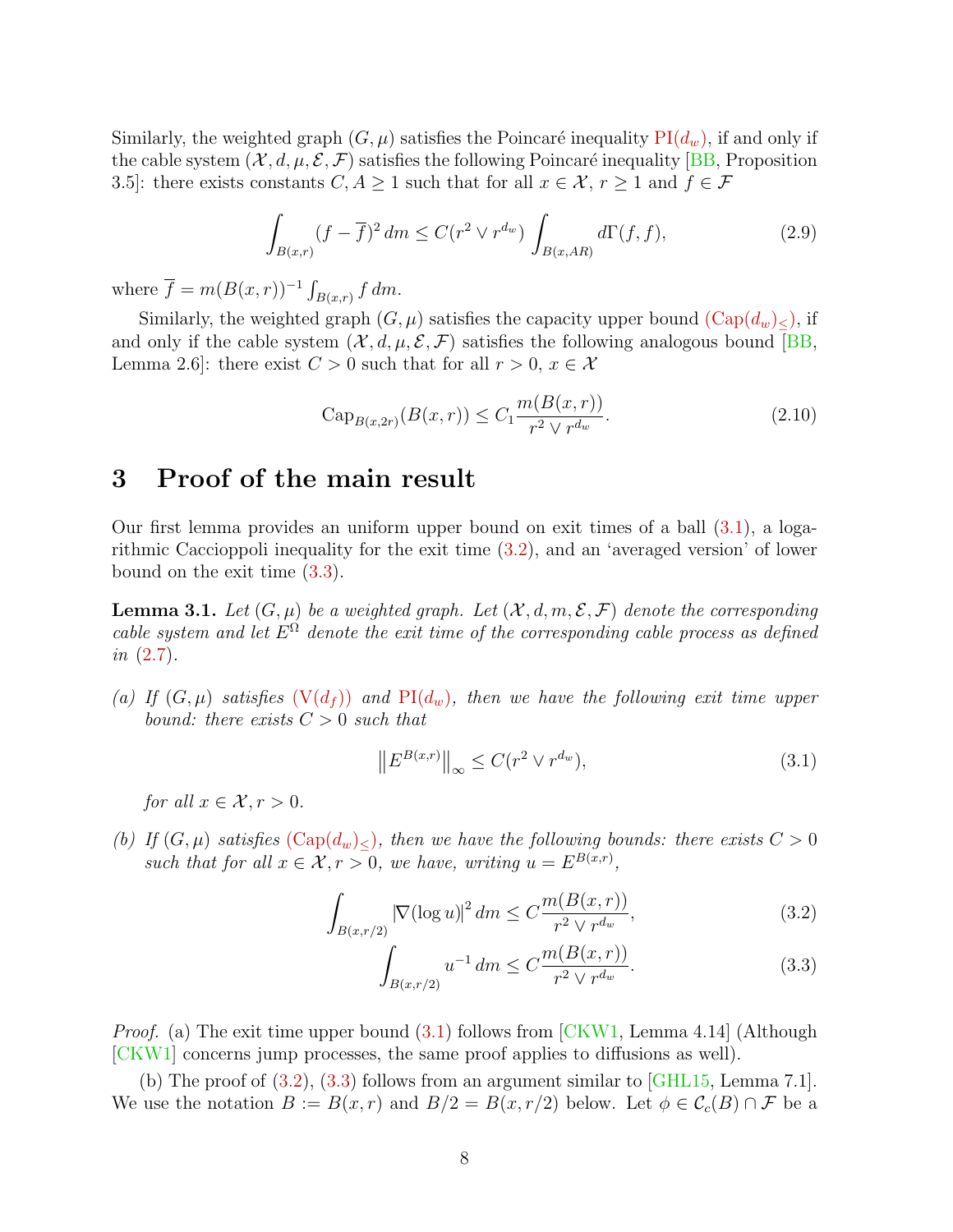Similarly, the weighted graph  $(G, \mu)$  satisfies the Poincaré inequality PI $(d_w)$ , if and only if the cable system  $(\mathcal{X}, d, \mu, \mathcal{E}, \mathcal{F})$  satisfies the following Poincaré inequality [\[BB,](#page-14-4) Proposition 3.5]: there exists constants  $C, A \geq 1$  such that for all  $x \in \mathcal{X}, r \geq 1$  and  $f \in \mathcal{F}$ 

<span id="page-7-5"></span>
$$
\int_{B(x,r)} (f - \overline{f})^2 dm \le C(r^2 \vee r^{d_w}) \int_{B(x,AR)} d\Gamma(f, f),
$$
\n(2.9)

where  $\overline{f} = m(B(x,r))^{-1} \int_{B(x,r)} f dm$ .

Similarly, the weighted graph  $(G, \mu)$  satisfies the capacity upper bound  $(\text{Cap}(d_w)_{\leq})$ , if and only if the cable system  $(\mathcal{X}, d, \mu, \mathcal{E}, \mathcal{F})$  satisfies the following analogous bound [\[BB,](#page-14-4) Lemma 2.6]: there exist  $C > 0$  such that for all  $r > 0$ ,  $x \in \mathcal{X}$ 

$$
Cap_{B(x,2r)}(B(x,r)) \le C_1 \frac{m(B(x,r))}{r^2 \vee r^{d_w}}.
$$
\n(2.10)

### <span id="page-7-0"></span>3 Proof of the main result

Our first lemma provides an uniform upper bound on exit times of a ball [\(3.1\)](#page-7-2), a logarithmic Caccioppoli inequality for the exit time [\(3.2\)](#page-7-3), and an 'averaged version' of lower bound on the exit time [\(3.3\)](#page-7-4).

<span id="page-7-1"></span>**Lemma 3.1.** Let  $(G, \mu)$  be a weighted graph. Let  $(\mathcal{X}, d, m, \mathcal{E}, \mathcal{F})$  denote the corresponding cable system and let  $E^{\Omega}$  denote the exit time of the corresponding cable process as defined in [\(2.7\)](#page-5-0).

(a) If  $(G, \mu)$  satisfies  $(V(d_f))$  $(V(d_f))$  and  $PI(d_w)$  $PI(d_w)$ , then we have the following exit time upper bound: there exists  $C > 0$  such that

<span id="page-7-2"></span>
$$
\left\| E^{B(x,r)} \right\|_{\infty} \le C(r^2 \vee r^{d_w}),\tag{3.1}
$$

for all  $x \in \mathcal{X}, r > 0$ .

(b) If  $(G, \mu)$  satisfies  $(\text{Cap}(d_w)_{\leq})$ , then we have the following bounds: there exists  $C > 0$ such that for all  $x \in \mathcal{X}, r > 0$ , we have, writing  $u = E^{B(x,r)}$ ,

$$
\int_{B(x,r/2)} |\nabla(\log u)|^2 \, dm \le C \frac{m(B(x,r))}{r^2 \sqrt{r^{d_w}}},\tag{3.2}
$$

<span id="page-7-4"></span><span id="page-7-3"></span>
$$
\int_{B(x,r/2)} u^{-1} dm \le C \frac{m(B(x,r))}{r^2 \vee r^{d_w}}.
$$
\n(3.3)

Proof. (a) The exit time upper bound [\(3.1\)](#page-7-2) follows from [\[CKW1,](#page-14-7) Lemma 4.14] (Although [\[CKW1\]](#page-14-7) concerns jump processes, the same proof applies to diffusions as well).

(b) The proof of [\(3.2\)](#page-7-3), [\(3.3\)](#page-7-4) follows from an argument similar to [\[GHL15,](#page-15-4) Lemma 7.1]. We use the notation  $B := B(x, r)$  and  $B/2 = B(x, r/2)$  below. Let  $\phi \in C_c(B) \cap \mathcal{F}$  be a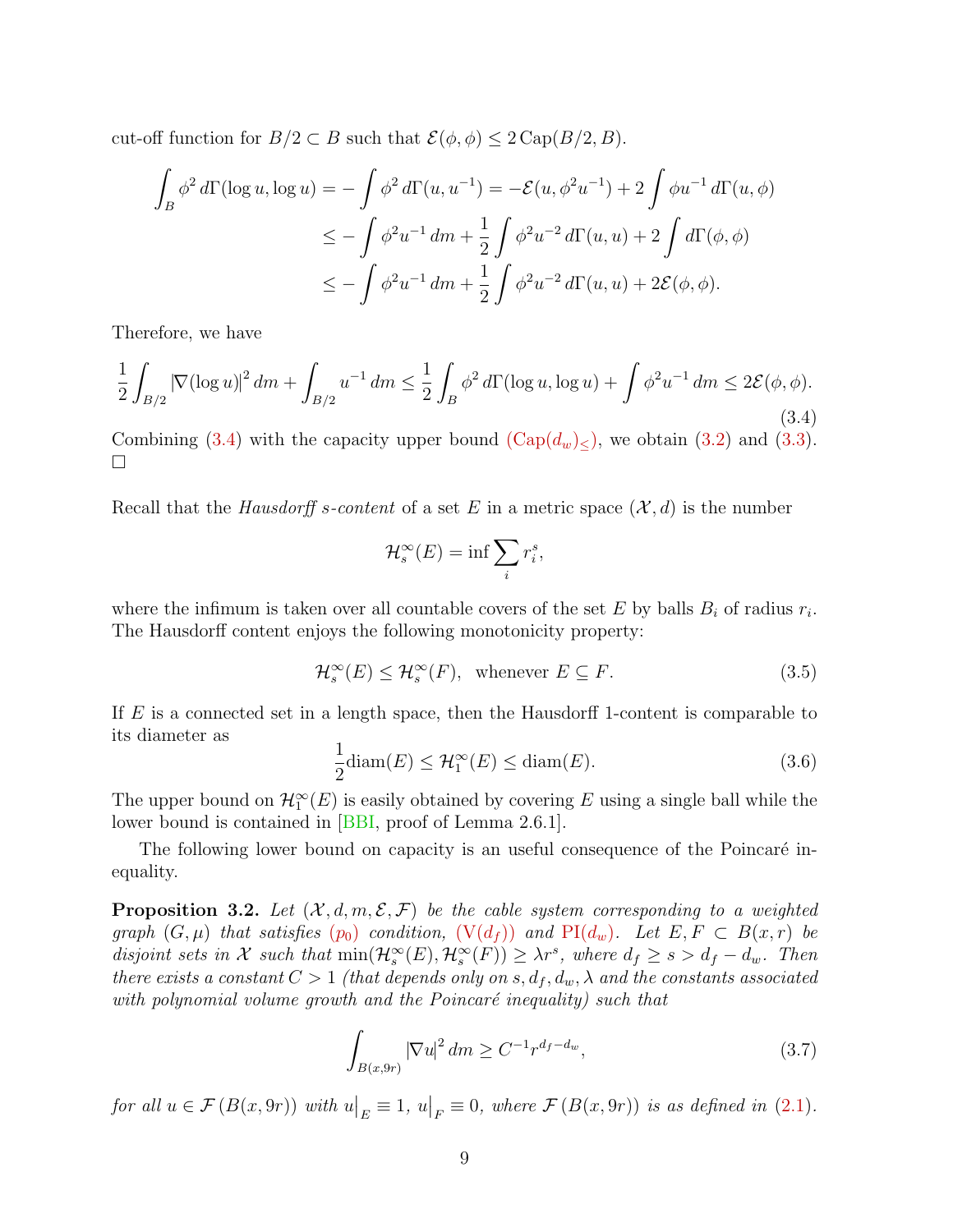cut-off function for  $B/2 \subset B$  such that  $\mathcal{E}(\phi, \phi) \leq 2 \operatorname{Cap}(B/2, B)$ .

$$
\int_{B} \phi^{2} d\Gamma(\log u, \log u) = -\int \phi^{2} d\Gamma(u, u^{-1}) = -\mathcal{E}(u, \phi^{2}u^{-1}) + 2 \int \phi u^{-1} d\Gamma(u, \phi)
$$
  

$$
\leq -\int \phi^{2} u^{-1} dm + \frac{1}{2} \int \phi^{2} u^{-2} d\Gamma(u, u) + 2 \int d\Gamma(\phi, \phi)
$$
  

$$
\leq -\int \phi^{2} u^{-1} dm + \frac{1}{2} \int \phi^{2} u^{-2} d\Gamma(u, u) + 2\mathcal{E}(\phi, \phi).
$$

Therefore, we have

<span id="page-8-1"></span>
$$
\frac{1}{2} \int_{B/2} |\nabla(\log u)|^2 \, dm + \int_{B/2} u^{-1} \, dm \le \frac{1}{2} \int_B \phi^2 \, d\Gamma(\log u, \log u) + \int \phi^2 u^{-1} \, dm \le 2\mathcal{E}(\phi, \phi). \tag{3.4}
$$

Combining [\(3.4\)](#page-8-1) with the capacity upper bound  $(\text{Cap}(d_w)_{\leq})$ , we obtain [\(3.2\)](#page-7-3) and [\(3.3\)](#page-7-4).  $\Box$ 

Recall that the *Hausdorff s-content* of a set E in a metric space  $(\mathcal{X}, d)$  is the number

$$
\mathcal{H}_s^{\infty}(E) = \inf \sum_i r_i^s,
$$

where the infimum is taken over all countable covers of the set  $E$  by balls  $B_i$  of radius  $r_i$ . The Hausdorff content enjoys the following monotonicity property:

<span id="page-8-3"></span>
$$
\mathcal{H}_s^{\infty}(E) \le \mathcal{H}_s^{\infty}(F), \text{ whenever } E \subseteq F. \tag{3.5}
$$

If E is a connected set in a length space, then the Hausdorff 1-content is comparable to its diameter as

<span id="page-8-4"></span>
$$
\frac{1}{2}\text{diam}(E) \le \mathcal{H}_1^{\infty}(E) \le \text{diam}(E). \tag{3.6}
$$

The upper bound on  $\mathcal{H}_1^{\infty}(E)$  is easily obtained by covering E using a single ball while the lower bound is contained in [\[BBI,](#page-14-12) proof of Lemma 2.6.1].

The following lower bound on capacity is an useful consequence of the Poincaré inequality.

<span id="page-8-0"></span>**Proposition 3.2.** Let  $(X, d, m, \mathcal{E}, \mathcal{F})$  be the cable system corresponding to a weighted gra[p](#page-1-0)h  $(G, \mu)$  that satisfies  $(p_0)$  condition,  $(V(d_f))$  $(V(d_f))$  and  $PI(d_w)$  $PI(d_w)$ . Let  $E, F \subset B(x,r)$  be disjoint sets in X such that  $\min(\mathcal{H}_s^{\infty}(E), \mathcal{H}_s^{\infty}(F)) \geq \lambda r^s$ , where  $d_f \geq s > d_f - d_w$ . Then there exists a constant  $C > 1$  (that depends only on s,  $d_f, d_w, \lambda$  and the constants associated with polynomial volume growth and the Poincaré inequality) such that

<span id="page-8-2"></span>
$$
\int_{B(x,9r)} |\nabla u|^2 dm \ge C^{-1} r^{d_f - d_w},\tag{3.7}
$$

for all  $u \in \mathcal{F}(B(x, 9r))$  with  $u|_E \equiv 1, u|_F \equiv 0$ , where  $\mathcal{F}(B(x, 9r))$  is as defined in [\(2.1\)](#page-4-1).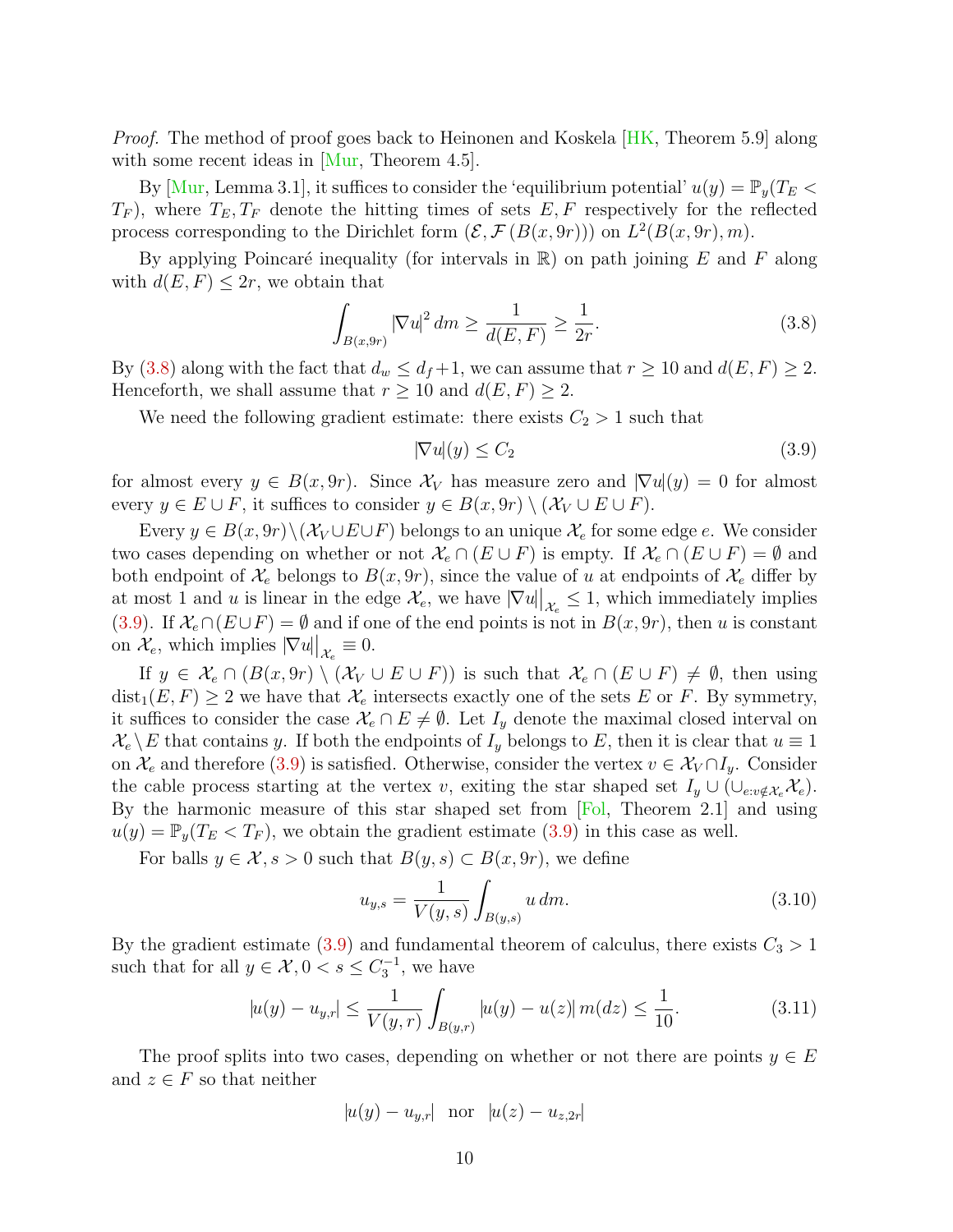Proof. The method of proof goes back to Heinonen and Koskela [\[HK,](#page-15-11) Theorem 5.9] along with some recent ideas in [\[Mur,](#page-15-7) Theorem 4.5].

By [\[Mur,](#page-15-7) Lemma 3.1], it suffices to consider the 'equilibrium potential'  $u(y) = \mathbb{P}_y(T_E \leq$  $T_F$ ), where  $T_E, T_F$  denote the hitting times of sets E, F respectively for the reflected process corresponding to the Dirichlet form  $(\mathcal{E}, \mathcal{F}(B(x, 9r)))$  on  $L^2(B(x, 9r), m)$ .

By applying Poincaré inequality (for intervals in  $\mathbb{R}$ ) on path joining E and F along with  $d(E, F) \leq 2r$ , we obtain that

<span id="page-9-0"></span>
$$
\int_{B(x,9r)} |\nabla u|^2 dm \ge \frac{1}{d(E,F)} \ge \frac{1}{2r}.\tag{3.8}
$$

By [\(3.8\)](#page-9-0) along with the fact that  $d_w \leq d_f + 1$ , we can assume that  $r \geq 10$  and  $d(E, F) \geq 2$ . Henceforth, we shall assume that  $r \ge 10$  and  $d(E, F) \ge 2$ .

We need the following gradient estimate: there exists  $C_2 > 1$  such that

<span id="page-9-1"></span>
$$
|\nabla u(y)| \le C_2 \tag{3.9}
$$

for almost every  $y \in B(x, 9r)$ . Since  $\mathcal{X}_V$  has measure zero and  $|\nabla u|(y) = 0$  for almost every  $y \in E \cup F$ , it suffices to consider  $y \in B(x, 9r) \setminus (\mathcal{X}_V \cup E \cup F)$ .

Every  $y \in B(x, 9r) \setminus (\mathcal{X}_V \cup E \cup F)$  belongs to an unique  $\mathcal{X}_e$  for some edge e. We consider two cases depending on whether or not  $\mathcal{X}_e \cap (E \cup F)$  is empty. If  $\mathcal{X}_e \cap (E \cup F) = \emptyset$  and both endpoint of  $\mathcal{X}_e$  belongs to  $B(x, 9r)$ , since the value of u at endpoints of  $\mathcal{X}_e$  differ by at most 1 and u is linear in the edge  $\mathcal{X}_e$ , we have  $|\nabla u|_{\mathcal{X}_e} \leq 1$ , which immediately implies [\(3.9\)](#page-9-1). If  $\mathcal{X}_{e} \cap (E \cup F) = \emptyset$  and if one of the end points is not in  $B(x, 9r)$ , then u is constant on  $\mathcal{X}_e$ , which implies  $|\nabla u||_{\mathcal{X}_e} \equiv 0$ .

If  $y \in \mathcal{X}_e \cap (B(x, 9r) \setminus (\mathcal{X}_V \cup E \cup F))$  is such that  $\mathcal{X}_e \cap (E \cup F) \neq \emptyset$ , then using  $dist_1(E, F) \geq 2$  we have that  $\mathcal{X}_e$  intersects exactly one of the sets E or F. By symmetry, it suffices to consider the case  $\mathcal{X}_e \cap E \neq \emptyset$ . Let  $I_y$  denote the maximal closed interval on  $\mathcal{X}_e \backslash E$  that contains y. If both the endpoints of  $I_y$  belongs to E, then it is clear that  $u \equiv 1$ on  $\mathcal{X}_e$  and therefore [\(3.9\)](#page-9-1) is satisfied. Otherwise, consider the vertex  $v \in \mathcal{X}_V \cap I_y$ . Consider the cable process starting at the vertex v, exiting the star shaped set  $I_y \cup (\cup_{e:v \notin \mathcal{X}_e} \mathcal{X}_e)$ . By the harmonic measure of this star shaped set from [\[Fol,](#page-14-11) Theorem 2.1] and using  $u(y) = \mathbb{P}_y(T_E < T_F)$ , we obtain the gradient estimate [\(3.9\)](#page-9-1) in this case as well.

For balls  $y \in \mathcal{X}, s > 0$  such that  $B(y, s) \subset B(x, 9r)$ , we define

$$
u_{y,s} = \frac{1}{V(y,s)} \int_{B(y,s)} u \, dm. \tag{3.10}
$$

By the gradient estimate [\(3.9\)](#page-9-1) and fundamental theorem of calculus, there exists  $C_3 > 1$ such that for all  $y \in \mathcal{X}, 0 < s \leq C_3^{-1}$ , we have

<span id="page-9-2"></span>
$$
|u(y) - u_{y,r}| \le \frac{1}{V(y,r)} \int_{B(y,r)} |u(y) - u(z)| \, m(dz) \le \frac{1}{10}.\tag{3.11}
$$

The proof splits into two cases, depending on whether or not there are points  $y \in E$ and  $z \in F$  so that neither

$$
|u(y) - u_{y,r}|
$$
 nor  $|u(z) - u_{z,2r}|$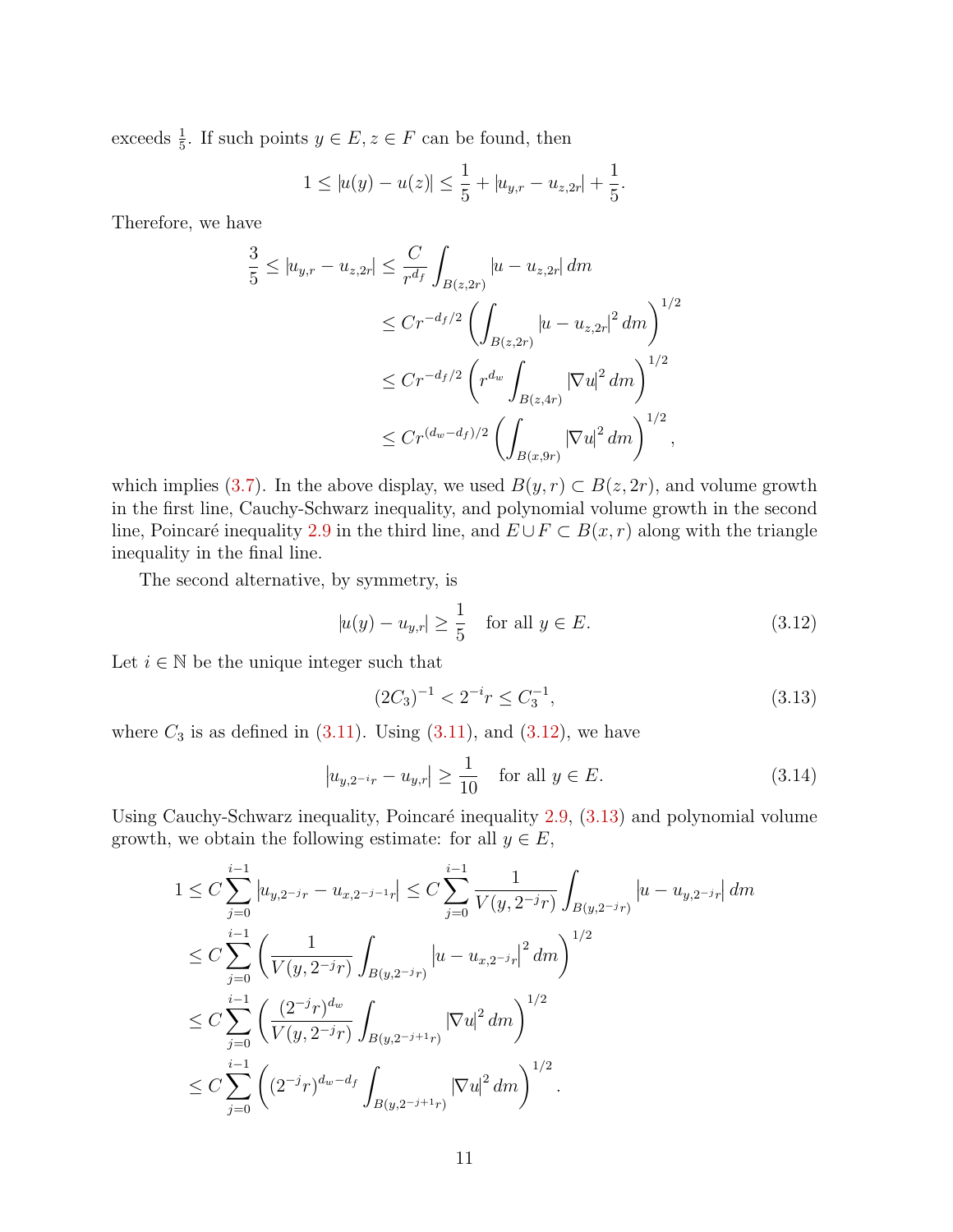exceeds  $\frac{1}{5}$ . If such points  $y \in E$ ,  $z \in F$  can be found, then

$$
1 \le |u(y) - u(z)| \le \frac{1}{5} + |u_{y,r} - u_{z,2r}| + \frac{1}{5}.
$$

Therefore, we have

$$
\frac{3}{5} \le |u_{y,r} - u_{z,2r}| \le \frac{C}{r^{d_f}} \int_{B(z,2r)} |u - u_{z,2r}| dm
$$
  
\n
$$
\le Cr^{-d_f/2} \left( \int_{B(z,2r)} |u - u_{z,2r}|^2 dm \right)^{1/2}
$$
  
\n
$$
\le Cr^{-d_f/2} \left( r^{d_w} \int_{B(z,4r)} |\nabla u|^2 dm \right)^{1/2}
$$
  
\n
$$
\le Cr^{(d_w - d_f)/2} \left( \int_{B(x,9r)} |\nabla u|^2 dm \right)^{1/2},
$$

which implies [\(3.7\)](#page-8-2). In the above display, we used  $B(y, r) \subset B(z, 2r)$ , and volume growth in the first line, Cauchy-Schwarz inequality, and polynomial volume growth in the second line, Poincaré inequality [2.9](#page-7-5) in the third line, and  $E \cup F \subset B(x, r)$  along with the triangle inequality in the final line.

The second alternative, by symmetry, is

<span id="page-10-0"></span>
$$
|u(y) - u_{y,r}| \ge \frac{1}{5}
$$
 for all  $y \in E$ . (3.12)

Let  $i \in \mathbb{N}$  be the unique integer such that

<span id="page-10-1"></span>
$$
(2C_3)^{-1} < 2^{-i}r \le C_3^{-1},\tag{3.13}
$$

where  $C_3$  is as defined in  $(3.11)$ . Using  $(3.11)$ , and  $(3.12)$ , we have

$$
|u_{y,2^{-i}r} - u_{y,r}| \ge \frac{1}{10}
$$
 for all  $y \in E$ . (3.14)

Using Cauchy-Schwarz inequality, Poincaré inequality  $2.9$ ,  $(3.13)$  and polynomial volume growth, we obtain the following estimate: for all  $y \in E$ ,

$$
1 \leq C \sum_{j=0}^{i-1} |u_{y,2^{-j}r} - u_{x,2^{-j-1}r}| \leq C \sum_{j=0}^{i-1} \frac{1}{V(y,2^{-j}r)} \int_{B(y,2^{-j}r)} |u - u_{y,2^{-j}r}| dm
$$
  
\n
$$
\leq C \sum_{j=0}^{i-1} \left( \frac{1}{V(y,2^{-j}r)} \int_{B(y,2^{-j}r)} |u - u_{x,2^{-j}r}|^2 dm \right)^{1/2}
$$
  
\n
$$
\leq C \sum_{j=0}^{i-1} \left( \frac{(2^{-j}r)^{d_w}}{V(y,2^{-j}r)} \int_{B(y,2^{-j+1}r)} |\nabla u|^2 dm \right)^{1/2}
$$
  
\n
$$
\leq C \sum_{j=0}^{i-1} \left( (2^{-j}r)^{d_w - d_f} \int_{B(y,2^{-j+1}r)} |\nabla u|^2 dm \right)^{1/2}.
$$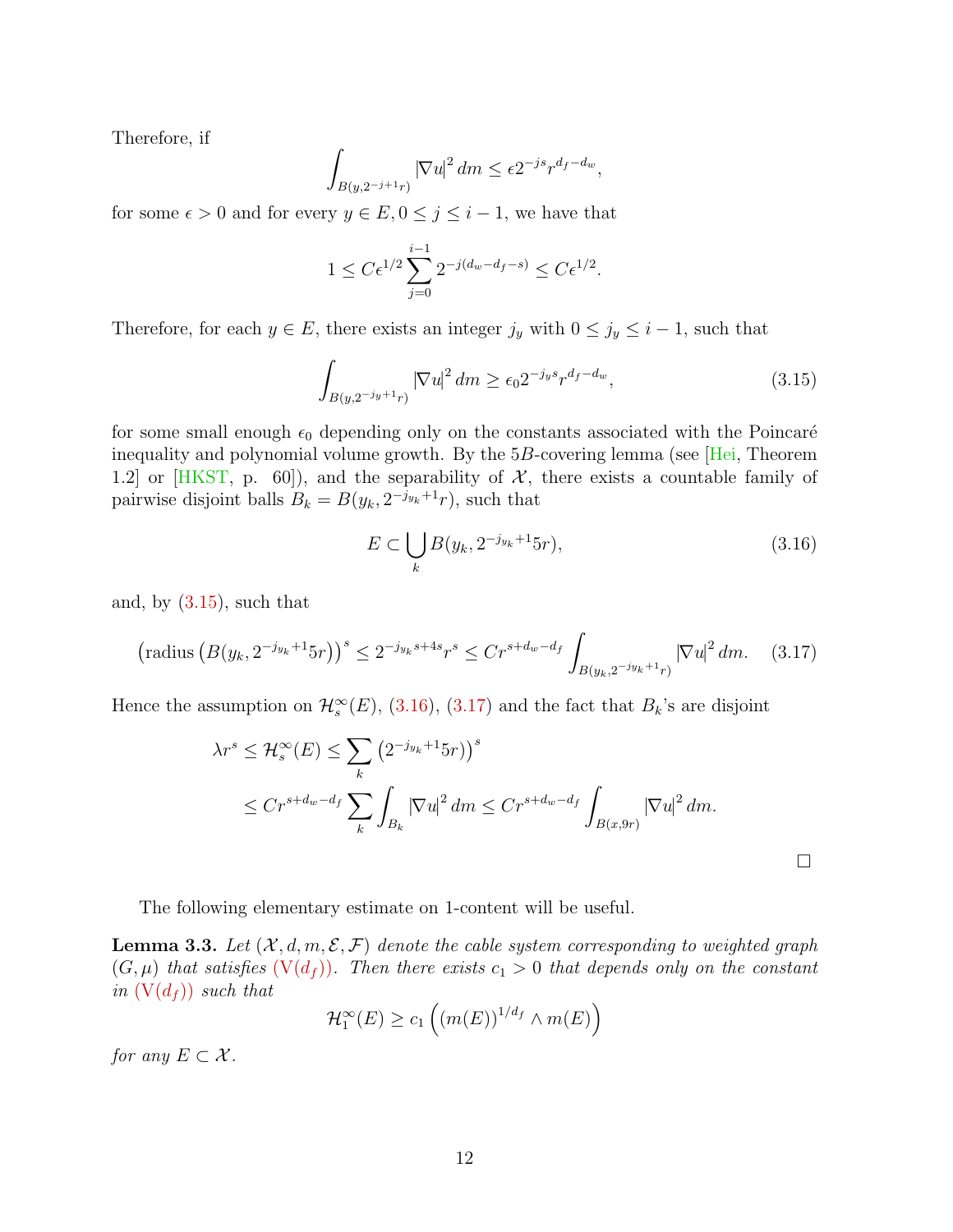Therefore, if

$$
\int_{B(y,2^{-j+1}r)} |\nabla u|^2 dm \le \epsilon 2^{-js} r^{d_f - d_w},
$$

for some  $\epsilon > 0$  and for every  $y \in E$ ,  $0 \le j \le i - 1$ , we have that

$$
1 \leq C \epsilon^{1/2} \sum_{j=0}^{i-1} 2^{-j(d_w - d_f - s)} \leq C \epsilon^{1/2}.
$$

Therefore, for each  $y \in E$ , there exists an integer  $j_y$  with  $0 \le j_y \le i - 1$ , such that

<span id="page-11-0"></span>
$$
\int_{B(y,2^{-j_y+1}r)} |\nabla u|^2 dm \ge \epsilon_0 2^{-j_y s} r^{d_f - d_w},\tag{3.15}
$$

for some small enough  $\epsilon_0$  depending only on the constants associated with the Poincaré inequality and polynomial volume growth. By the 5B-covering lemma (see [\[Hei,](#page-15-12) Theorem 1.2] or [\[HKST,](#page-15-13) p. 60]), and the separability of  $\mathcal{X}$ , there exists a countable family of pairwise disjoint balls  $B_k = B(y_k, 2^{-j_{y_k}+1}r)$ , such that

<span id="page-11-1"></span>
$$
E \subset \bigcup_{k} B(y_k, 2^{-j_{y_k}+1} 5r),\tag{3.16}
$$

and, by [\(3.15\)](#page-11-0), such that

<span id="page-11-2"></span>
$$
\left(\text{radius}\left(B(y_k, 2^{-j_{y_k}+1}5r)\right)^s \le 2^{-j_{y_k}s+4s}r^s \le Cr^{s+d_w-d_f} \int_{B(y_k, 2^{-j_{y_k}+1}r)} \left|\nabla u\right|^2 dm. \tag{3.17}
$$

Hence the assumption on  $\mathcal{H}_s^{\infty}(E)$ , [\(3.16\)](#page-11-1), [\(3.17\)](#page-11-2) and the fact that  $B_k$ 's are disjoint

$$
\lambda r^{s} \leq \mathcal{H}_{s}^{\infty}(E) \leq \sum_{k} \left(2^{-j_{y_{k}}+1} 5r\right)^{s}
$$
  

$$
\leq Cr^{s+d_{w}-d_{f}} \sum_{k} \int_{B_{k}} |\nabla u|^{2} dm \leq Cr^{s+d_{w}-d_{f}} \int_{B(x,9r)} |\nabla u|^{2} dm.
$$

The following elementary estimate on 1-content will be useful.

<span id="page-11-3"></span>**Lemma 3.3.** Let  $(X, d, m, \mathcal{E}, \mathcal{F})$  denote the cable system corresponding to weighted graph  $(G, \mu)$  that satisfies  $(V(d_f))$  $(V(d_f))$ . Then there exists  $c_1 > 0$  that depends only on the constant in  $(V(d_f))$  $(V(d_f))$  such that

$$
\mathcal{H}_1^{\infty}(E) \ge c_1 \left( \left( m(E) \right)^{1/d_f} \wedge m(E) \right)
$$

for any  $E \subset \mathcal{X}$ .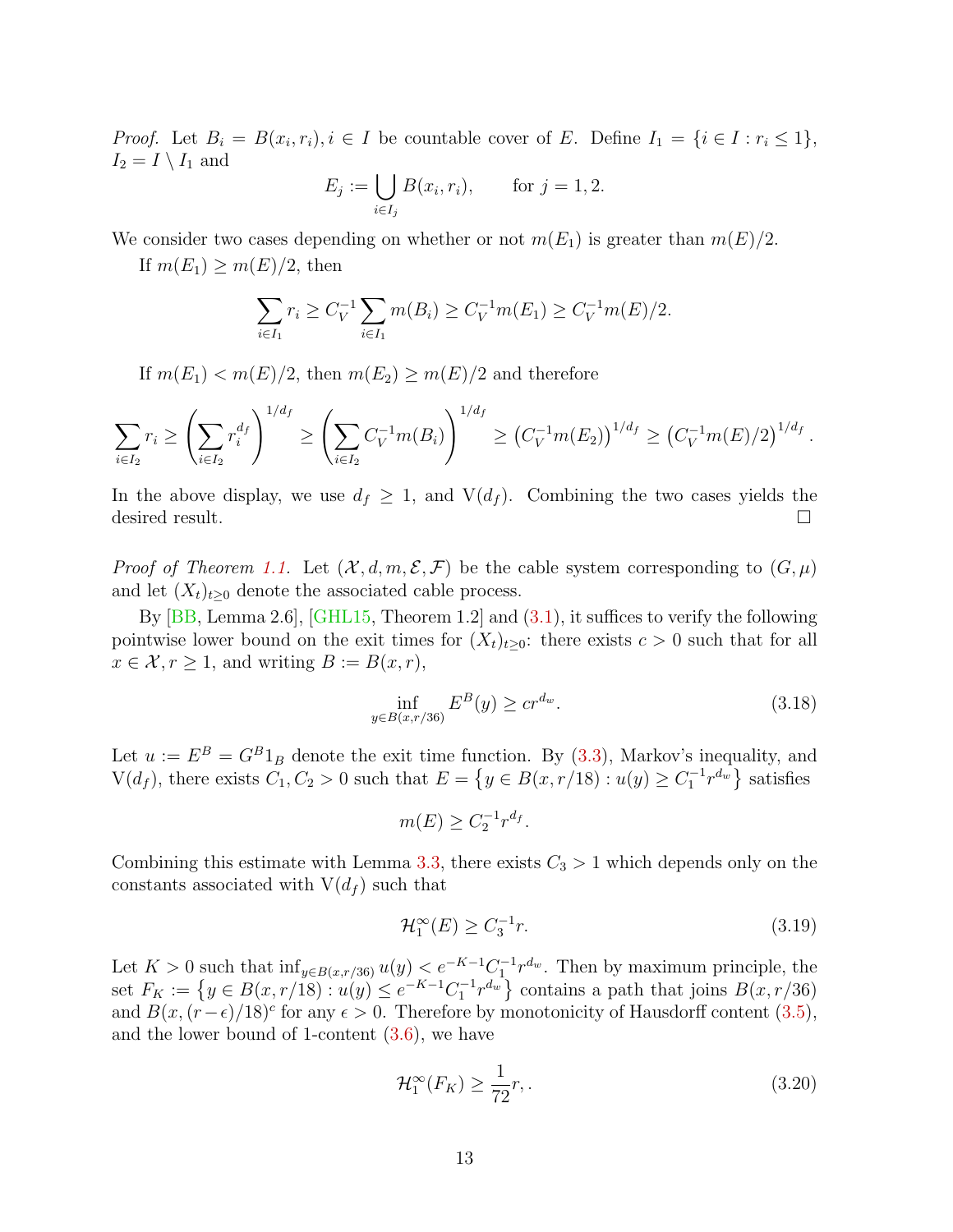*Proof.* Let  $B_i = B(x_i, r_i), i \in I$  be countable cover of E. Define  $I_1 = \{i \in I : r_i \leq 1\},\$  $I_2 = I \setminus I_1$  and

$$
E_j := \bigcup_{i \in I_j} B(x_i, r_i),
$$
 for  $j = 1, 2.$ 

We consider two cases depending on whether or not  $m(E_1)$  is greater than  $m(E)/2$ .

If  $m(E_1) \geq m(E)/2$ , then

$$
\sum_{i \in I_1} r_i \ge C_V^{-1} \sum_{i \in I_1} m(B_i) \ge C_V^{-1} m(E_1) \ge C_V^{-1} m(E)/2.
$$

If  $m(E_1) < m(E)/2$ , then  $m(E_2) \ge m(E)/2$  and therefore

$$
\sum_{i\in I_2} r_i \ge \left(\sum_{i\in I_2} r_i^{d_f}\right)^{1/d_f} \ge \left(\sum_{i\in I_2} C_V^{-1} m(B_i)\right)^{1/d_f} \ge \left(C_V^{-1} m(E_2)\right)^{1/d_f} \ge \left(C_V^{-1} m(E)/2\right)^{1/d_f}.
$$

In the above display, we use  $d_f \geq 1$ , and  $V(d_f)$ . Combining the two cases yields the desired result.

*Proof of Theorem [1.1.](#page-2-2)* Let  $(\mathcal{X}, d, m, \mathcal{E}, \mathcal{F})$  be the cable system corresponding to  $(G, \mu)$ and let  $(X_t)_{t\geq0}$  denote the associated cable process.

By  $[BB, Lemma 2.6], [GHL15, Theorem 1.2] and (3.1), it suffices to verify the following.$  $[BB, Lemma 2.6], [GHL15, Theorem 1.2] and (3.1), it suffices to verify the following.$  $[BB, Lemma 2.6], [GHL15, Theorem 1.2] and (3.1), it suffices to verify the following.$  $[BB, Lemma 2.6], [GHL15, Theorem 1.2] and (3.1), it suffices to verify the following.$  $[BB, Lemma 2.6], [GHL15, Theorem 1.2] and (3.1), it suffices to verify the following.$ pointwise lower bound on the exit times for  $(X_t)_{t>0}$ : there exists  $c > 0$  such that for all  $x \in \mathcal{X}, r \geq 1$ , and writing  $B := B(x, r)$ ,

<span id="page-12-2"></span>
$$
\inf_{y \in B(x, r/36)} E^B(y) \ge c r^{d_w}.
$$
\n(3.18)

Let  $u := E^B = G^B 1_B$  denote the exit time function. By [\(3.3\)](#page-7-4), Markov's inequality, and  $V(d_f)$ , there exists  $C_1, C_2 > 0$  such that  $E = \{y \in B(x, r/18) : u(y) \ge C_1^{-1}r^{d_w}\}$  satisfies

 $m(E) \ge C_2^{-1} r^{d_f}.$ 

Combining this estimate with Lemma [3.3,](#page-11-3) there exists  $C_3 > 1$  which depends only on the constants associated with  $V(d_f)$  such that

<span id="page-12-0"></span>
$$
\mathcal{H}_1^{\infty}(E) \ge C_3^{-1}r. \tag{3.19}
$$

Let  $K > 0$  such that  $\inf_{y \in B(x, r/36)} u(y) < e^{-K-1} C_1^{-1} r^{d_w}$ . Then by maximum principle, the set  $F_K := \{ y \in B(x, r/18) : u(y) \le e^{-K-1}C_1^{-1}r^{d_w} \}$  contains a path that joins  $B(x, r/36)$ and  $B(x, (r-\epsilon)/18)^c$  for any  $\epsilon > 0$ . Therefore by monotonicity of Hausdorff content [\(3.5\)](#page-8-3), and the lower bound of 1-content [\(3.6\)](#page-8-4), we have

<span id="page-12-1"></span>
$$
\mathcal{H}_1^{\infty}(F_K) \ge \frac{1}{72}r,\tag{3.20}
$$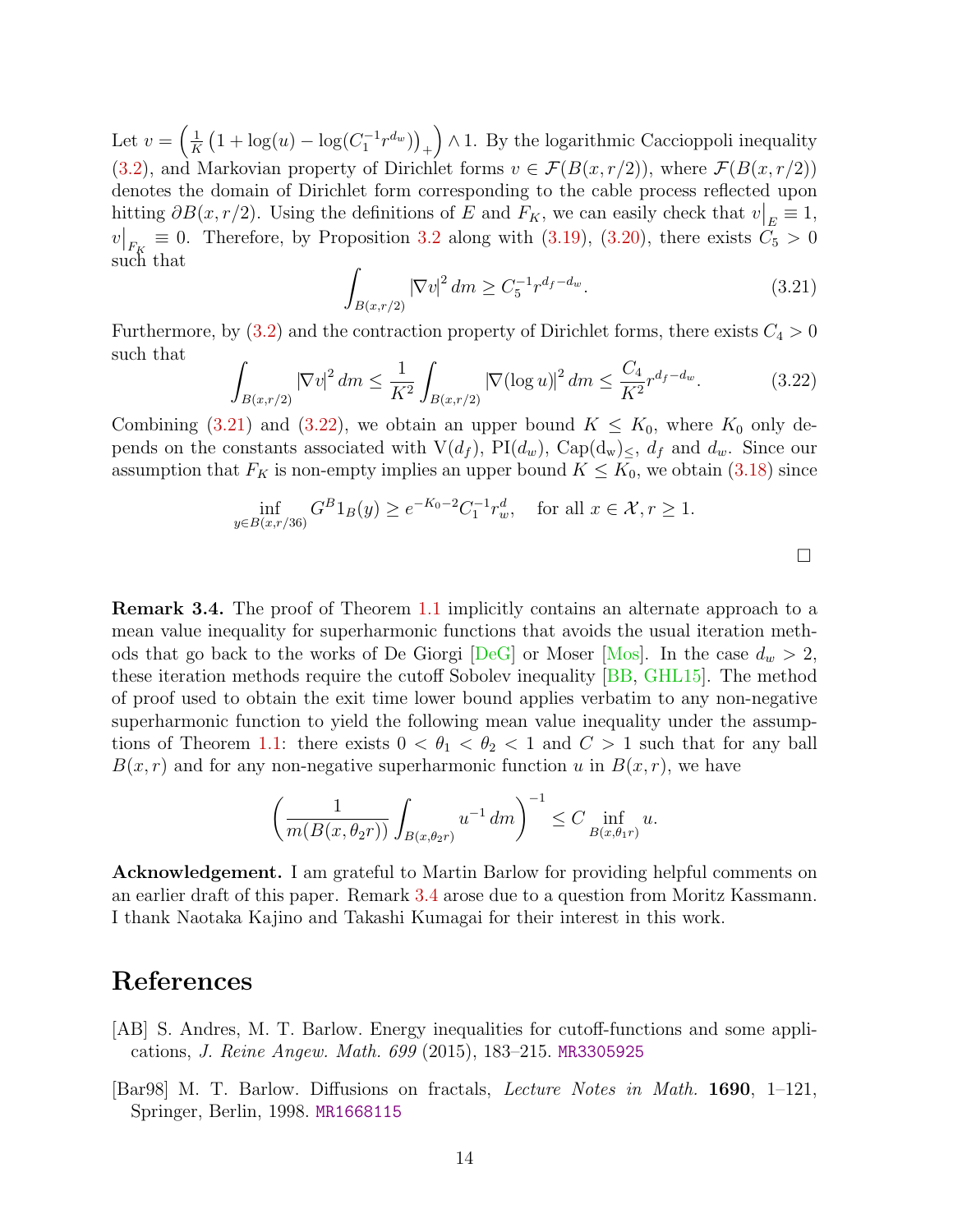Let  $v = \left(\frac{1}{K}\right)$  $\frac{1}{K} (1 + \log(u) - \log(C_1^{-1} r^{d_w}))_+$  ∧ 1. By the logarithmic Caccioppoli inequality [\(3.2\)](#page-7-3), and Markovian property of Dirichlet forms  $v \in \mathcal{F}(B(x,r/2))$ , where  $\mathcal{F}(B(x,r/2))$ denotes the domain of Dirichlet form corresponding to the cable process reflected upon hitting  $\partial B(x, r/2)$ . Using the definitions of E and  $F_K$ , we can easily check that  $v|_E \equiv 1$ ,  $v|_{F_K} \equiv 0$ . Therefore, by Proposition [3.2](#page-8-0) along with [\(3.19\)](#page-12-0), [\(3.20\)](#page-12-1), there exists  $C_5 > 0$ such that

<span id="page-13-1"></span>
$$
\int_{B(x,r/2)} |\nabla v|^2 dm \ge C_5^{-1} r^{d_f - d_w}.
$$
\n(3.21)

Furthermore, by  $(3.2)$  and the contraction property of Dirichlet forms, there exists  $C_4 > 0$ such that

<span id="page-13-2"></span>
$$
\int_{B(x,r/2)} |\nabla v|^2 dm \le \frac{1}{K^2} \int_{B(x,r/2)} |\nabla (\log u)|^2 dm \le \frac{C_4}{K^2} r^{d_f - d_w}.
$$
\n(3.22)

Combining [\(3.21\)](#page-13-1) and [\(3.22\)](#page-13-2), we obtain an upper bound  $K \leq K_0$ , where  $K_0$  only depends on the constants associated with  $V(d_f)$ ,  $PI(d_w)$ ,  $Cap(d_w)_{\leq}$ ,  $d_f$  and  $d_w$ . Since our assumption that  $F_K$  is non-empty implies an upper bound  $K \leq K_0$ , we obtain [\(3.18\)](#page-12-2) since

$$
\inf_{y \in B(x, r/36)} G^B 1_B(y) \ge e^{-K_0 - 2} C_1^{-1} r_w^d, \text{ for all } x \in \mathcal{X}, r \ge 1.
$$

<span id="page-13-3"></span>Remark 3.4. The proof of Theorem [1.1](#page-2-2) implicitly contains an alternate approach to a mean value inequality for superharmonic functions that avoids the usual iteration meth-ods that go back to the works of De Giorgi [\[DeG\]](#page-14-13) or Moser [\[Mos\]](#page-15-14). In the case  $d_w > 2$ , these iteration methods require the cutoff Sobolev inequality [\[BB,](#page-14-4) [GHL15\]](#page-15-4). The method of proof used to obtain the exit time lower bound applies verbatim to any non-negative superharmonic function to yield the following mean value inequality under the assump-tions of Theorem [1.1:](#page-2-2) there exists  $0 < \theta_1 < \theta_2 < 1$  and  $C > 1$  such that for any ball  $B(x, r)$  and for any non-negative superharmonic function u in  $B(x, r)$ , we have

$$
\left(\frac{1}{m(B(x,\theta_2 r))}\int_{B(x,\theta_2 r)} u^{-1} dm\right)^{-1} \le C \inf_{B(x,\theta_1 r)} u.
$$

Acknowledgement. I am grateful to Martin Barlow for providing helpful comments on an earlier draft of this paper. Remark [3.4](#page-13-3) arose due to a question from Moritz Kassmann. I thank Naotaka Kajino and Takashi Kumagai for their interest in this work.

### References

- <span id="page-13-0"></span>[AB] S. Andres, M. T. Barlow. Energy inequalities for cutoff-functions and some applications, J. Reine Angew. Math. 699 (2015), 183–215. [MR3305925](http://www.ams.org/mathscinet-getitem?mr=3305925)
- [Bar98] M. T. Barlow. Diffusions on fractals, Lecture Notes in Math. 1690, 1–121, Springer, Berlin, 1998. [MR1668115](http://www.ams.org/mathscinet-getitem?mr=1668115)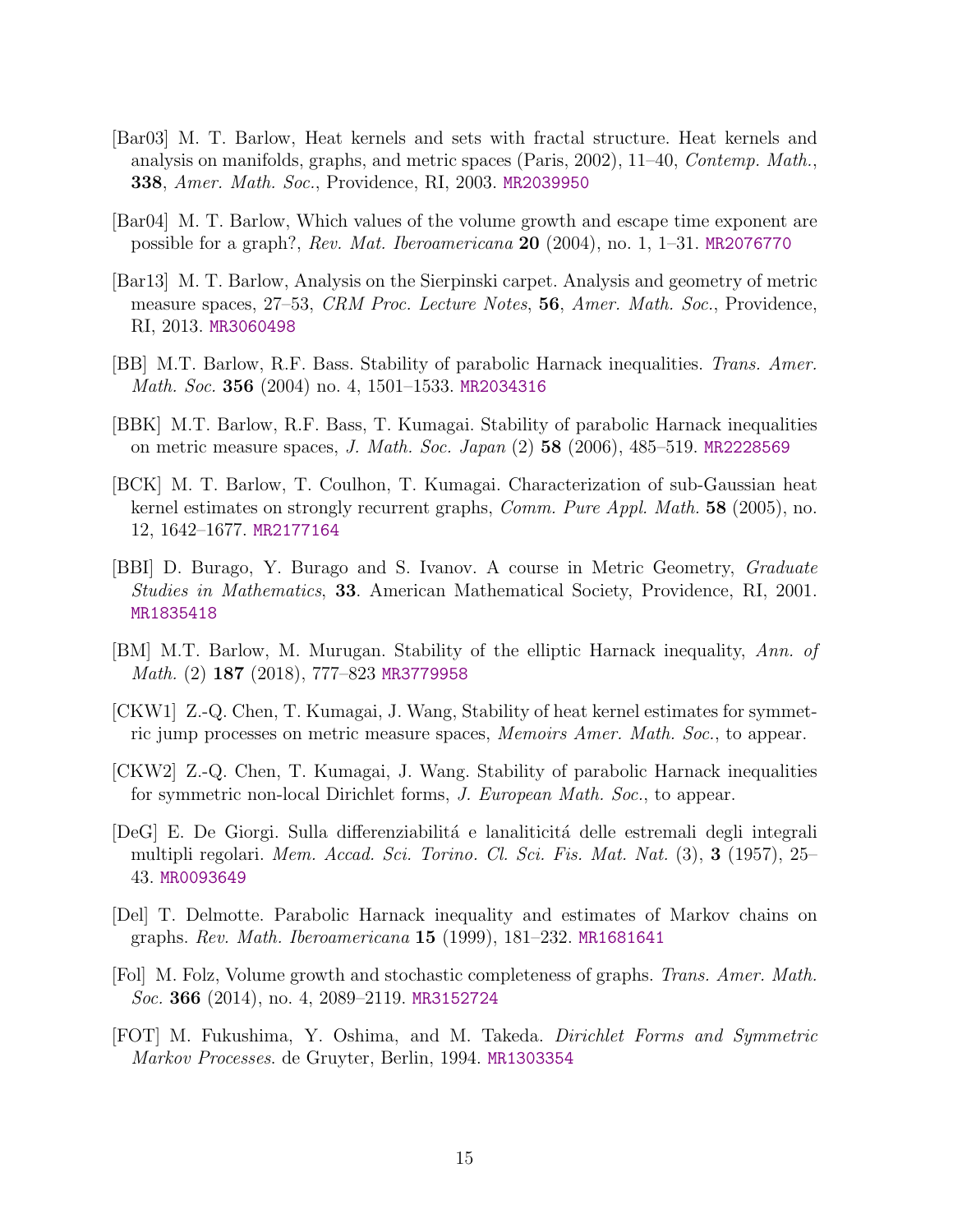- <span id="page-14-9"></span>[Bar03] M. T. Barlow, Heat kernels and sets with fractal structure. Heat kernels and analysis on manifolds, graphs, and metric spaces (Paris, 2002), 11–40, Contemp. Math., 338, Amer. Math. Soc., Providence, RI, 2003. [MR2039950](http://www.ams.org/mathscinet-getitem?mr=2039950)
- <span id="page-14-0"></span>[Bar04] M. T. Barlow, Which values of the volume growth and escape time exponent are possible for a graph?, Rev. Mat. Iberoamericana 20 (2004), no. 1, 1–31. [MR2076770](http://www.ams.org/mathscinet-getitem?mr=2076770)
- <span id="page-14-2"></span>[Bar13] M. T. Barlow, Analysis on the Sierpinski carpet. Analysis and geometry of metric measure spaces, 27–53, CRM Proc. Lecture Notes, 56, Amer. Math. Soc., Providence, RI, 2013. [MR3060498](http://www.ams.org/mathscinet-getitem?mr=3060498)
- <span id="page-14-4"></span>[BB] M.T. Barlow, R.F. Bass. Stability of parabolic Harnack inequalities. Trans. Amer. Math. Soc. 356 (2004) no. 4, 1501-1533. [MR2034316](http://www.ams.org/mathscinet-getitem?mr=2034316)
- <span id="page-14-5"></span>[BBK] M.T. Barlow, R.F. Bass, T. Kumagai. Stability of parabolic Harnack inequalities on metric measure spaces, J. Math. Soc. Japan (2) 58 (2006), 485–519. [MR2228569](http://www.ams.org/mathscinet-getitem?mr=2228569)
- <span id="page-14-3"></span>[BCK] M. T. Barlow, T. Coulhon, T. Kumagai. Characterization of sub-Gaussian heat kernel estimates on strongly recurrent graphs, Comm. Pure Appl. Math. 58 (2005), no. 12, 1642–1677. [MR2177164](http://www.ams.org/mathscinet-getitem?mr=2177164)
- <span id="page-14-12"></span>[BBI] D. Burago, Y. Burago and S. Ivanov. A course in Metric Geometry, Graduate Studies in Mathematics, 33. American Mathematical Society, Providence, RI, 2001. [MR1835418](http://www.ams.org/mathscinet-getitem?mr=1835418)
- <span id="page-14-6"></span>[BM] M.T. Barlow, M. Murugan. Stability of the elliptic Harnack inequality, Ann. of Math. (2) 187 (2018), 777–823 [MR3779958](http://www.ams.org/mathscinet-getitem?mr=3779958)
- <span id="page-14-7"></span>[CKW1] Z.-Q. Chen, T. Kumagai, J. Wang, Stability of heat kernel estimates for symmetric jump processes on metric measure spaces, Memoirs Amer. Math. Soc., to appear.
- <span id="page-14-8"></span>[CKW2] Z.-Q. Chen, T. Kumagai, J. Wang. Stability of parabolic Harnack inequalities for symmetric non-local Dirichlet forms, J. European Math. Soc., to appear.
- <span id="page-14-13"></span>[DeG] E. De Giorgi. Sulla differenziabilità e lanaliticità delle estremali degli integrali multipli regolari. Mem. Accad. Sci. Torino. Cl. Sci. Fis. Mat. Nat. (3), 3 (1957), 25– 43. [MR0093649](http://www.ams.org/mathscinet-getitem?mr=0093649)
- <span id="page-14-1"></span>[Del] T. Delmotte. Parabolic Harnack inequality and estimates of Markov chains on graphs. Rev. Math. Iberoamericana 15 (1999), 181–232. [MR1681641](http://www.ams.org/mathscinet-getitem?mr=1681641)
- <span id="page-14-11"></span>[Fol] M. Folz, Volume growth and stochastic completeness of graphs. Trans. Amer. Math. Soc. 366 (2014), no. 4, 2089–2119. [MR3152724](http://www.ams.org/mathscinet-getitem?mr=3152724)
- <span id="page-14-10"></span>[FOT] M. Fukushima, Y. Oshima, and M. Takeda. Dirichlet Forms and Symmetric Markov Processes. de Gruyter, Berlin, 1994. [MR1303354](http://www.ams.org/mathscinet-getitem?mr=1303354)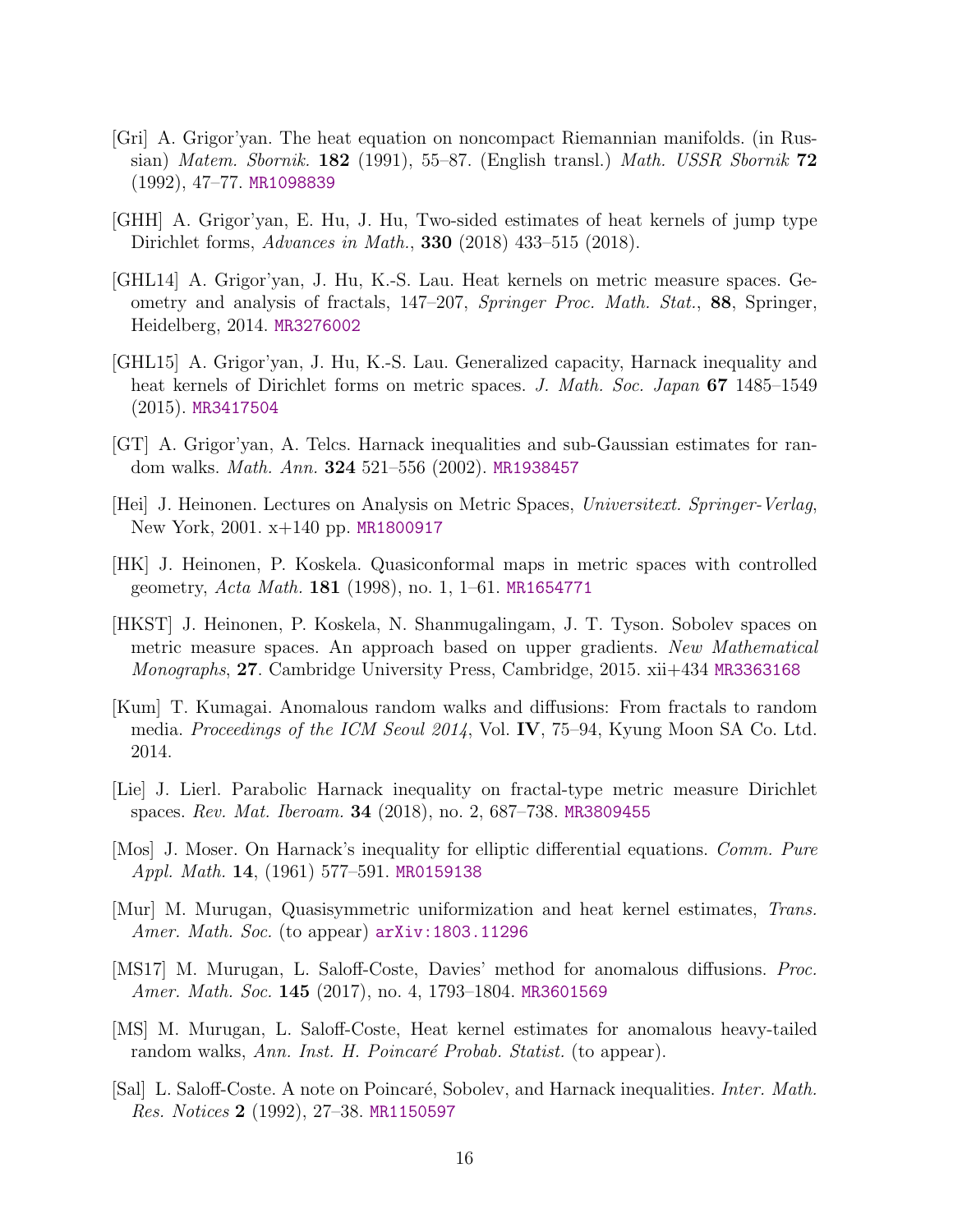- <span id="page-15-1"></span>[Gri] A. Grigor'yan. The heat equation on noncompact Riemannian manifolds. (in Russian) Matem. Sbornik. 182 (1991), 55–87. (English transl.) Math. USSR Sbornik  $72$ (1992), 47–77. [MR1098839](http://www.ams.org/mathscinet-getitem?mr=1098839)
- <span id="page-15-5"></span>[GHH] A. Grigor'yan, E. Hu, J. Hu, Two-sided estimates of heat kernels of jump type Dirichlet forms, Advances in Math., 330 (2018) 433–515 (2018).
- <span id="page-15-3"></span>[GHL14] A. Grigor'yan, J. Hu, K.-S. Lau. Heat kernels on metric measure spaces. Geometry and analysis of fractals, 147–207, Springer Proc. Math. Stat., 88, Springer, Heidelberg, 2014. [MR3276002](http://www.ams.org/mathscinet-getitem?mr=3276002)
- <span id="page-15-4"></span>[GHL15] A. Grigor'yan, J. Hu, K.-S. Lau. Generalized capacity, Harnack inequality and heat kernels of Dirichlet forms on metric spaces. J. Math. Soc. Japan 67 1485–1549 (2015). [MR3417504](http://www.ams.org/mathscinet-getitem?mr=3417504)
- <span id="page-15-0"></span>[GT] A. Grigor'yan, A. Telcs. Harnack inequalities and sub-Gaussian estimates for random walks. Math. Ann. 324 521–556 (2002). [MR1938457](http://www.ams.org/mathscinet-getitem?mr=1938457)
- <span id="page-15-12"></span>[Hei] J. Heinonen. Lectures on Analysis on Metric Spaces, Universitext. Springer-Verlag, New York, 2001. x+140 pp. [MR1800917](http://www.ams.org/mathscinet-getitem?mr=1800917)
- <span id="page-15-11"></span>[HK] J. Heinonen, P. Koskela. Quasiconformal maps in metric spaces with controlled geometry, Acta Math. 181 (1998), no. 1, 1–61. [MR1654771](http://www.ams.org/mathscinet-getitem?mr=1654771)
- <span id="page-15-13"></span>[HKST] J. Heinonen, P. Koskela, N. Shanmugalingam, J. T. Tyson. Sobolev spaces on metric measure spaces. An approach based on upper gradients. New Mathematical Monographs, 27. Cambridge University Press, Cambridge, 2015. xii+434 [MR3363168](http://www.ams.org/mathscinet-getitem?mr=3363168)
- <span id="page-15-6"></span>[Kum] T. Kumagai. Anomalous random walks and diffusions: From fractals to random media. Proceedings of the ICM Seoul 2014, Vol. IV, 75–94, Kyung Moon SA Co. Ltd. 2014.
- <span id="page-15-8"></span>[Lie] J. Lierl. Parabolic Harnack inequality on fractal-type metric measure Dirichlet spaces. Rev. Mat. Iberoam. 34 (2018), no. 2, 687–738. [MR3809455](http://www.ams.org/mathscinet-getitem?mr=3809455)
- <span id="page-15-14"></span>[Mos] J. Moser. On Harnack's inequality for elliptic differential equations. Comm. Pure Appl. Math. 14, (1961) 577–591. [MR0159138](http://www.ams.org/mathscinet-getitem?mr=0159138)
- <span id="page-15-7"></span>[Mur] M. Murugan, Quasisymmetric uniformization and heat kernel estimates, Trans. Amer. Math. Soc. (to appear) [arXiv:1803.11296](http://arxiv.org/abs/1803.11296)
- <span id="page-15-9"></span>[MS17] M. Murugan, L. Saloff-Coste, Davies' method for anomalous diffusions. Proc. Amer. Math. Soc. 145 (2017), no. 4, 1793–1804. [MR3601569](http://www.ams.org/mathscinet-getitem?mr=3601569)
- <span id="page-15-10"></span>[MS] M. Murugan, L. Saloff-Coste, Heat kernel estimates for anomalous heavy-tailed random walks, Ann. Inst. H. Poincaré Probab. Statist. (to appear).
- <span id="page-15-2"></span>[Sal] L. Saloff-Coste. A note on Poincaré, Sobolev, and Harnack inequalities. *Inter. Math.* Res. Notices 2 (1992), 27–38. [MR1150597](http://www.ams.org/mathscinet-getitem?mr=1150597)